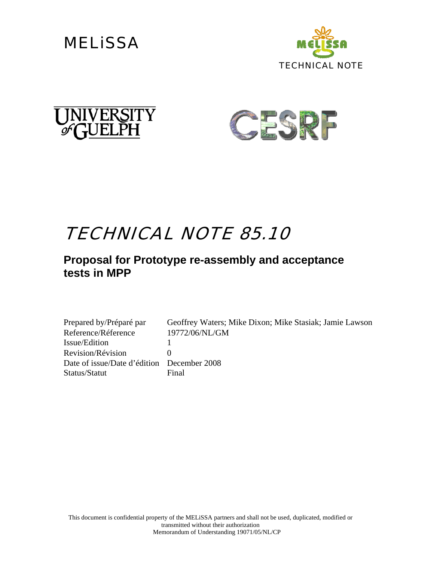







## TECHNICAL NOTE 85.10

### **Proposal for Prototype re-assembly and acceptance tests in MPP**

| Prepared by/Préparé par                    | Geoffrey Waters; Mike Dixon; Mike Stasiak; Jamie Lawson |
|--------------------------------------------|---------------------------------------------------------|
| Reference/Réference                        | 19772/06/NL/GM                                          |
| Issue/Edition                              |                                                         |
| Revision/Révision                          |                                                         |
| Date of issue/Date d'édition December 2008 |                                                         |
| Status/Statut                              | Final                                                   |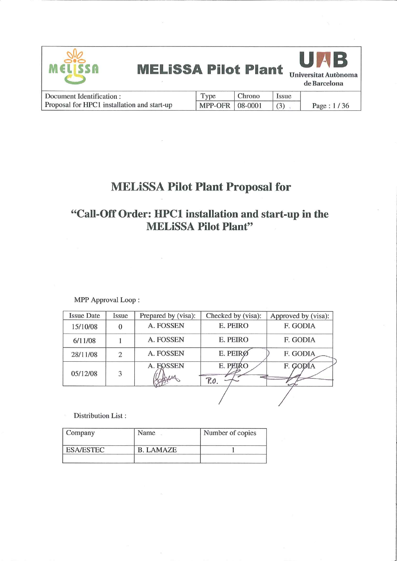

## **MELISSA Pilot Plant Proposal for**

## "Call-Off Order: HPC1 installation and start-up in the **MELISSA Pilot Plant"**

MPP Approval Loop:

| <b>Issue Date</b> | Issue | Prepared by (visa): | Checked by (visa): | Approved by (visa): |
|-------------------|-------|---------------------|--------------------|---------------------|
| 15/10/08          |       | A. FOSSEN           | E. PEIRO           | F. GODIA            |
| 6/11/08           |       | A. FOSSEN           | E. PEIRO           | F. GODIA            |
| 28/11/08          | 2.    | A. FOSSEN           | E. PEIRØ           | F. GODIA            |
| 05/12/08          | 3     | A. FOSSEN           | E. PEIRO<br>P.O.   | F. GODIA            |
|                   |       |                     |                    |                     |

Distribution List:

| Company          | Name             | Number of copies |
|------------------|------------------|------------------|
| <b>ESA/ESTEC</b> | <b>B. LAMAZE</b> |                  |
|                  |                  |                  |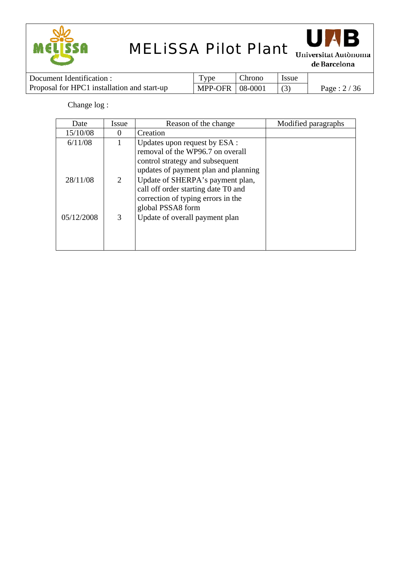



de Barcelona

| Document Identification :                   | Type              | Chrono | <b>Issue</b> |               |
|---------------------------------------------|-------------------|--------|--------------|---------------|
| Proposal for HPC1 installation and start-up | MPP-OFR   08-0001 |        |              | Page : $2/36$ |

Change log :

| Date       | Issue    | Reason of the change                 | Modified paragraphs |
|------------|----------|--------------------------------------|---------------------|
| 15/10/08   | $\theta$ | Creation                             |                     |
| 6/11/08    |          | Updates upon request by ESA :        |                     |
|            |          | removal of the WP96.7 on overall     |                     |
|            |          | control strategy and subsequent      |                     |
|            |          | updates of payment plan and planning |                     |
| 28/11/08   | 2        | Update of SHERPA's payment plan,     |                     |
|            |          | call off order starting date T0 and  |                     |
|            |          | correction of typing errors in the   |                     |
|            |          | global PSSA8 form                    |                     |
| 05/12/2008 | 3        | Update of overall payment plan       |                     |
|            |          |                                      |                     |
|            |          |                                      |                     |
|            |          |                                      |                     |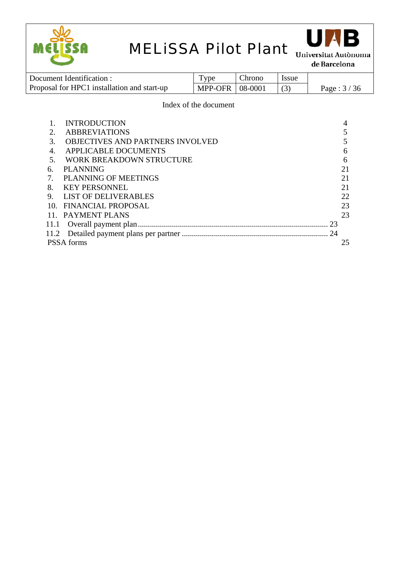



| Document Identification :                   | I ype             | Chrono | <b>Issue</b> |               |
|---------------------------------------------|-------------------|--------|--------------|---------------|
| Proposal for HPC1 installation and start-up | MPP-OFR   08-0001 |        |              | Page : $3/36$ |

### Index of the document

|                             | <b>INTRODUCTION</b>                     |    |
|-----------------------------|-----------------------------------------|----|
| $\mathcal{D}_{\mathcal{L}}$ | <b>ABBREVIATIONS</b>                    |    |
| 3.                          | <b>OBJECTIVES AND PARTNERS INVOLVED</b> |    |
| $\overline{4}$ .            | <b>APPLICABLE DOCUMENTS</b>             | 6  |
| .5                          | <b>WORK BREAKDOWN STRUCTURE</b>         | 6  |
| 6.                          | <b>PLANNING</b>                         | 21 |
|                             | PLANNING OF MEETINGS                    | 21 |
| 8.                          | <b>KEY PERSONNEL</b>                    | 21 |
| 9.                          | LIST OF DELIVERABLES                    | 22 |
| 10.                         | FINANCIAL PROPOSAL                      | 23 |
|                             | 11. PAYMENT PLANS                       | 23 |
| 11.1                        | 23                                      |    |
|                             |                                         |    |
|                             | <b>PSSA</b> forms                       | 25 |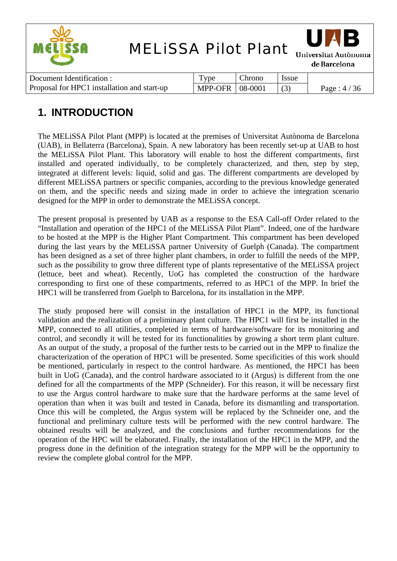

| Document Identification :                   | <b>vpe</b>        | Chrono | <i>ssue</i> |               |
|---------------------------------------------|-------------------|--------|-------------|---------------|
| Proposal for HPC1 installation and start-up | MPP-OFR   08-0001 |        |             | Page : $4/36$ |

## **1. INTRODUCTION**

The MELiSSA Pilot Plant (MPP) is located at the premises of Universitat Autònoma de Barcelona (UAB), in Bellaterra (Barcelona), Spain. A new laboratory has been recently set-up at UAB to host the MELiSSA Pilot Plant. This laboratory will enable to host the different compartments, first installed and operated individually, to be completely characterized, and then, step by step, integrated at different levels: liquid, solid and gas. The different compartments are developed by different MELiSSA partners or specific companies, according to the previous knowledge generated on them, and the specific needs and sizing made in order to achieve the integration scenario designed for the MPP in order to demonstrate the MELiSSA concept.

The present proposal is presented by UAB as a response to the ESA Call-off Order related to the "Installation and operation of the HPC1 of the MELiSSA Pilot Plant". Indeed, one of the hardware to be hosted at the MPP is the Higher Plant Compartment. This compartment has been developed during the last years by the MELiSSA partner University of Guelph (Canada). The compartment has been designed as a set of three higher plant chambers, in order to fulfill the needs of the MPP, such as the possibility to grow three different type of plants representative of the MELiSSA project (lettuce, beet and wheat). Recently, UoG has completed the construction of the hardware corresponding to first one of these compartments, referred to as HPC1 of the MPP. In brief the HPC1 will be transferred from Guelph to Barcelona, for its installation in the MPP.

The study proposed here will consist in the installation of HPC1 in the MPP, its functional validation and the realization of a preliminary plant culture. The HPC1 will first be installed in the MPP, connected to all utilities, completed in terms of hardware/software for its monitoring and control, and secondly it will be tested for its functionalities by growing a short term plant culture. As an output of the study, a proposal of the further tests to be carried out in the MPP to finalize the characterization of the operation of HPC1 will be presented. Some specificities of this work should be mentioned, particularly in respect to the control hardware. As mentioned, the HPC1 has been built in UoG (Canada), and the control hardware associated to it (Argus) is different from the one defined for all the compartments of the MPP (Schneider). For this reason, it will be necessary first to use the Argus control hardware to make sure that the hardware performs at the same level of operation than when it was built and tested in Canada, before its dismantling and transportation. Once this will be completed, the Argus system will be replaced by the Schneider one, and the functional and preliminary culture tests will be performed with the new control hardware. The obtained results will be analyzed, and the conclusions and further recommendations for the operation of the HPC will be elaborated. Finally, the installation of the HPC1 in the MPP, and the progress done in the definition of the integration strategy for the MPP will be the opportunity to review the complete global control for the MPP.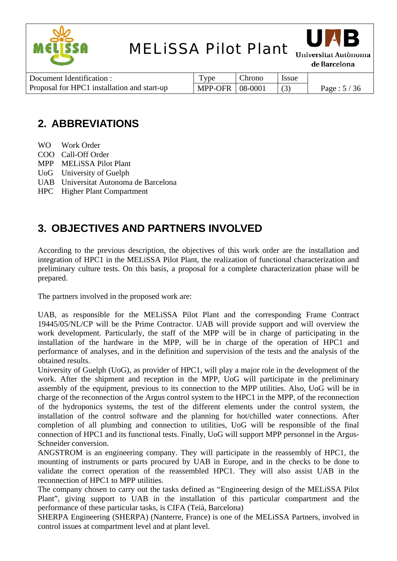



de Barcelona

| Document Identification :                   | $TV$ pe           | Chrono | Issue |               |
|---------------------------------------------|-------------------|--------|-------|---------------|
| Proposal for HPC1 installation and start-up | MPP-OFR   08-0001 |        |       | Page : $5/36$ |

## **2. ABBREVIATIONS**

- WO Work Order
- COO Call-Off Order
- MPP MELiSSA Pilot Plant
- UoG University of Guelph
- UAB Universitat Autonoma de Barcelona
- HPC Higher Plant Compartment

## **3. OBJECTIVES AND PARTNERS INVOLVED**

According to the previous description, the objectives of this work order are the installation and integration of HPC1 in the MELiSSA Pilot Plant, the realization of functional characterization and preliminary culture tests. On this basis, a proposal for a complete characterization phase will be prepared.

The partners involved in the proposed work are:

UAB, as responsible for the MELiSSA Pilot Plant and the corresponding Frame Contract 19445/05/NL/CP will be the Prime Contractor. UAB will provide support and will overview the work development. Particularly, the staff of the MPP will be in charge of participating in the installation of the hardware in the MPP, will be in charge of the operation of HPC1 and performance of analyses, and in the definition and supervision of the tests and the analysis of the obtained results.

University of Guelph (UoG), as provider of HPC1, will play a major role in the development of the work. After the shipment and reception in the MPP, UoG will participate in the preliminary assembly of the equipment, previous to its connection to the MPP utilities. Also, UoG will be in charge of the reconnection of the Argus control system to the HPC1 in the MPP, of the reconnection of the hydroponics systems, the test of the different elements under the control system, the installation of the control software and the planning for hot/chilled water connections. After completion of all plumbing and connection to utilities, UoG will be responsible of the final connection of HPC1 and its functional tests. Finally, UoG will support MPP personnel in the Argus-Schneider conversion.

ANGSTROM is an engineering company. They will participate in the reassembly of HPC1, the mounting of instruments or parts procured by UAB in Europe, and in the checks to be done to validate the correct operation of the reassembled HPC1. They will also assist UAB in the reconnection of HPC1 to MPP utilities.

The company chosen to carry out the tasks defined as "Engineering design of the MELiSSA Pilot Plant", giving support to UAB in the installation of this particular compartment and the performance of these particular tasks, is CIFA (Teià, Barcelona)

SHERPA Engineering (SHERPA) (Nanterre, France) is one of the MELiSSA Partners, involved in control issues at compartment level and at plant level.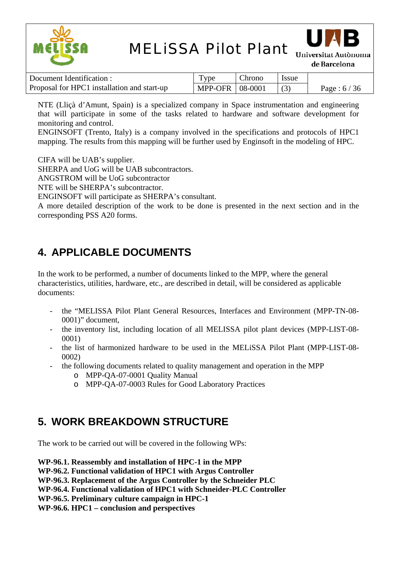



Universitat Autònoma de Barcelona

| Document Identification :                   | Type              | Chrono | <i>Issue</i> |               |
|---------------------------------------------|-------------------|--------|--------------|---------------|
| Proposal for HPC1 installation and start-up | MPP-OFR   08-0001 |        |              | Page : $6/36$ |

NTE (Lliçà d'Amunt, Spain) is a specialized company in Space instrumentation and engineering that will participate in some of the tasks related to hardware and software development for monitoring and control.

ENGINSOFT (Trento, Italy) is a company involved in the specifications and protocols of HPC1 mapping. The results from this mapping will be further used by Enginsoft in the modeling of HPC.

CIFA will be UAB's supplier.

SHERPA and UoG will be UAB subcontractors.

ANGSTROM will be UoG subcontractor

NTE will be SHERPA's subcontractor.

ENGINSOFT will participate as SHERPA's consultant.

A more detailed description of the work to be done is presented in the next section and in the corresponding PSS A20 forms.

## **4. APPLICABLE DOCUMENTS**

In the work to be performed, a number of documents linked to the MPP, where the general characteristics, utilities, hardware, etc., are described in detail, will be considered as applicable documents:

- the "MELISSA Pilot Plant General Resources, Interfaces and Environment (MPP-TN-08- 0001)" document,
- the inventory list, including location of all MELISSA pilot plant devices (MPP-LIST-08- 0001)
- the list of harmonized hardware to be used in the MELiSSA Pilot Plant (MPP-LIST-08- 0002)
- the following documents related to quality management and operation in the MPP
	- o MPP-QA-07-0001 Quality Manual
	- o MPP-QA-07-0003 Rules for Good Laboratory Practices

## **5. WORK BREAKDOWN STRUCTURE**

The work to be carried out will be covered in the following WPs:

**WP-96.1. Reassembly and installation of HPC-1 in the MPP** 

**WP-96.2. Functional validation of HPC1 with Argus Controller** 

**WP-96.3. Replacement of the Argus Controller by the Schneider PLC** 

**WP-96.4. Functional validation of HPC1 with Schneider-PLC Controller** 

**WP-96.5. Preliminary culture campaign in HPC-1** 

**WP-96.6. HPC1 – conclusion and perspectives**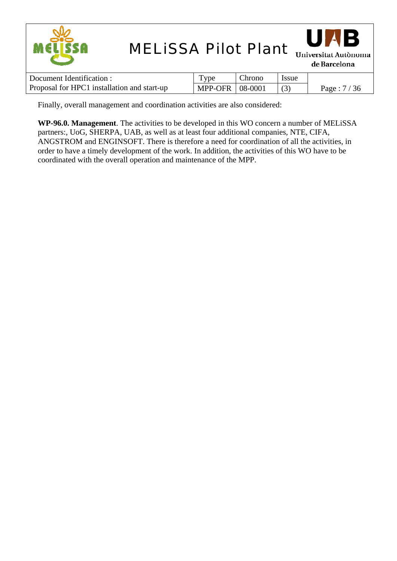| <b>MELISSA Pilot Plant</b><br>MELISSA       |                |         |       | UAB<br>Universitat Autònoma<br>de Barcelona |
|---------------------------------------------|----------------|---------|-------|---------------------------------------------|
| Document Identification :                   | Type           | Chrono  | Issue |                                             |
| Proposal for HPC1 installation and start-up | <b>MPP-OFR</b> | 08-0001 | (3)   | Page: $7/36$                                |

Finally, overall management and coordination activities are also considered:

**WP-96.0. Management**. The activities to be developed in this WO concern a number of MELiSSA partners:, UoG, SHERPA, UAB, as well as at least four additional companies, NTE, CIFA, ANGSTROM and ENGINSOFT. There is therefore a need for coordination of all the activities, in order to have a timely development of the work. In addition, the activities of this WO have to be coordinated with the overall operation and maintenance of the MPP.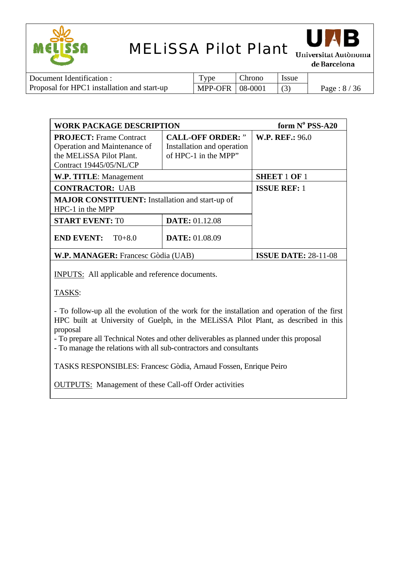



de Barcelona

| Document Identification :                   | Type                            | Chrono | l Issue |              |
|---------------------------------------------|---------------------------------|--------|---------|--------------|
| Proposal for HPC1 installation and start-up | $\vert$ MPP-OFR $\vert$ 08-0001 |        |         | Page: $8/36$ |

| <b>WORK PACKAGE DESCRIPTION</b>                                                                                       |                                                                                | form $N^{\circ}$ PSS-A20    |
|-----------------------------------------------------------------------------------------------------------------------|--------------------------------------------------------------------------------|-----------------------------|
| <b>PROJECT:</b> Frame Contract<br>Operation and Maintenance of<br>the MELISSA Pilot Plant.<br>Contract 19445/05/NL/CP | <b>CALL-OFF ORDER: "</b><br>Installation and operation<br>of HPC-1 in the MPP" | <b>W.P. REF.: 96.0</b>      |
| W.P. TITLE: Management                                                                                                |                                                                                | <b>SHEET 1 OF 1</b>         |
| <b>CONTRACTOR: UAB</b>                                                                                                |                                                                                | <b>ISSUE REF: 1</b>         |
| <b>MAJOR CONSTITUENT:</b> Installation and start-up of<br>$HPC-1$ in the MPP                                          |                                                                                |                             |
| <b>START EVENT: TO</b>                                                                                                | <b>DATE: 01.12.08</b>                                                          |                             |
| <b>END EVENT:</b><br>$T0+8.0$                                                                                         | <b>DATE: 01.08.09</b>                                                          |                             |
| W.P. MANAGER: Francesc Gòdia (UAB)                                                                                    |                                                                                | <b>ISSUE DATE: 28-11-08</b> |

INPUTS: All applicable and reference documents.

TASKS:

- To follow-up all the evolution of the work for the installation and operation of the first HPC built at University of Guelph, in the MELiSSA Pilot Plant, as described in this proposal

- To prepare all Technical Notes and other deliverables as planned under this proposal

- To manage the relations with all sub-contractors and consultants

TASKS RESPONSIBLES: Francesc Gòdia, Arnaud Fossen, Enrique Peiro

OUTPUTS: Management of these Call-off Order activities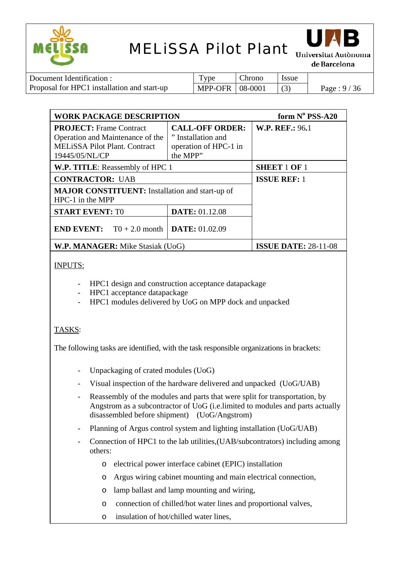



Universitat Autònoma de Barcelona

| Document Identification :                   | Type              | Chrono | l Issue |              |
|---------------------------------------------|-------------------|--------|---------|--------------|
| Proposal for HPC1 installation and start-up | MPP-OFR   08-0001 |        |         | Page: $9/36$ |

| <b>WORK PACKAGE DESCRIPTION</b>                                                                                              |                                                                                   | form $N^{\circ}$ PSS-A20    |
|------------------------------------------------------------------------------------------------------------------------------|-----------------------------------------------------------------------------------|-----------------------------|
| <b>PROJECT:</b> Frame Contract<br>Operation and Maintenance of the<br><b>MELISSA Pilot Plant. Contract</b><br>19445/05/NL/CP | <b>CALL-OFF ORDER:</b><br>" Installation and<br>operation of HPC-1 in<br>the MPP" | <b>W.P. REF.: 96.1</b>      |
| W.P. TITLE: Reassembly of HPC 1                                                                                              |                                                                                   | <b>SHEET 1 OF 1</b>         |
| <b>CONTRACTOR: UAB</b>                                                                                                       |                                                                                   | <b>ISSUE REF: 1</b>         |
| <b>MAJOR CONSTITUENT:</b> Installation and start-up of<br>$HPC-1$ in the MPP                                                 |                                                                                   |                             |
| <b>START EVENT: TO</b>                                                                                                       | <b>DATE: 01.12.08</b>                                                             |                             |
| <b>END EVENT:</b> $T0 + 2.0$ month                                                                                           | <b>DATE: 01.02.09</b>                                                             |                             |
| W.P. MANAGER: Mike Stasiak (UoG)                                                                                             |                                                                                   | <b>ISSUE DATE: 28-11-08</b> |

INPUTS:

- HPC1 design and construction acceptance datapackage
- HPC1 acceptance datapackage
- HPC1 modules delivered by UoG on MPP dock and unpacked

### TASKS:

The following tasks are identified, with the task responsible organizations in brackets:

- Unpackaging of crated modules (UoG)
- Visual inspection of the hardware delivered and unpacked (UoG/UAB)
- Reassembly of the modules and parts that were split for transportation, by Angstrom as a subcontractor of UoG (i.e.limited to modules and parts actually disassembled before shipment) (UoG/Angstrom)
- Planning of Argus control system and lighting installation (UoG/UAB)
- Connection of HPC1 to the lab utilities, (UAB/subcontrators) including among others:
	- o electrical power interface cabinet (EPIC) installation
	- o Argus wiring cabinet mounting and main electrical connection,
	- o lamp ballast and lamp mounting and wiring,
	- o connection of chilled/hot water lines and proportional valves,
	- o insulation of hot/chilled water lines,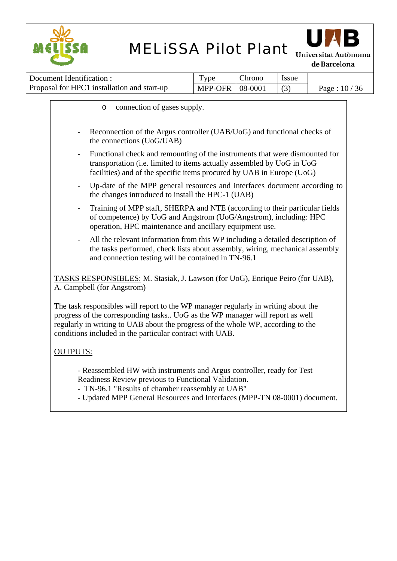



Universitat Autònoma de Barcelona

| Document Identification :                   | $TV$ pe           | Chrono | <i>Issue</i> |               |
|---------------------------------------------|-------------------|--------|--------------|---------------|
| Proposal for HPC1 installation and start-up | MPP-OFR   08-0001 |        |              | Page: $10/36$ |

o connection of gases supply. Reconnection of the Argus controller (UAB/UoG) and functional checks of the connections (UoG/UAB) Functional check and remounting of the instruments that were dismounted for transportation (i.e. limited to items actually assembled by UoG in UoG facilities) and of the specific items procured by UAB in Europe (UoG) Up-date of the MPP general resources and interfaces document according to the changes introduced to install the HPC-1 (UAB) - Training of MPP staff, SHERPA and NTE (according to their particular fields of competence) by UoG and Angstrom (UoG/Angstrom), including: HPC operation, HPC maintenance and ancillary equipment use. All the relevant information from this WP including a detailed description of the tasks performed, check lists about assembly, wiring, mechanical assembly and connection testing will be contained in TN-96.1 TASKS RESPONSIBLES: M. Stasiak, J. Lawson (for UoG), Enrique Peiro (for UAB), A. Campbell (for Angstrom) The task responsibles will report to the WP manager regularly in writing about the progress of the corresponding tasks.. UoG as the WP manager will report as well regularly in writing to UAB about the progress of the whole WP, according to the conditions included in the particular contract with UAB. OUTPUTS: - Reassembled HW with instruments and Argus controller, ready for Test Readiness Review previous to Functional Validation. - TN-96.1 "Results of chamber reassembly at UAB"

- Updated MPP General Resources and Interfaces (MPP-TN 08-0001) document.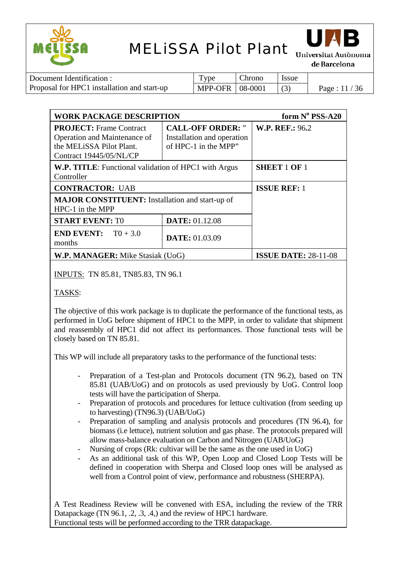



Universitat Autònoma de Barcelona

| Document Identification :                   | Type              | Chrono | <b>Issue</b> |               |
|---------------------------------------------|-------------------|--------|--------------|---------------|
| Proposal for HPC1 installation and start-up | MPP-OFR   08-0001 |        |              | Page: $11/36$ |

| <b>WORK PACKAGE DESCRIPTION</b>                                                                                       |                                                                                | form $N^{\circ}$ PSS-A20    |
|-----------------------------------------------------------------------------------------------------------------------|--------------------------------------------------------------------------------|-----------------------------|
| <b>PROJECT:</b> Frame Contract<br>Operation and Maintenance of<br>the MELISSA Pilot Plant.<br>Contract 19445/05/NL/CP | <b>CALL-OFF ORDER:</b> "<br>Installation and operation<br>of HPC-1 in the MPP" | <b>W.P. REF.: 96.2</b>      |
| W.P. TITLE: Functional validation of HPC1 with Argus<br>Controller                                                    |                                                                                | <b>SHEET 1 OF 1</b>         |
| <b>CONTRACTOR: UAB</b>                                                                                                |                                                                                | <b>ISSUE REF: 1</b>         |
| <b>MAJOR CONSTITUENT:</b> Installation and start-up of<br>HPC-1 in the MPP                                            |                                                                                |                             |
| <b>START EVENT: TO</b>                                                                                                | <b>DATE: 01.12.08</b>                                                          |                             |
| <b>END EVENT:</b> $T0 + 3.0$<br>months                                                                                | <b>DATE: 01.03.09</b>                                                          |                             |
| W.P. MANAGER: Mike Stasiak (UoG)                                                                                      |                                                                                | <b>ISSUE DATE: 28-11-08</b> |

INPUTS: TN 85.81, TN85.83, TN 96.1

TASKS:

The objective of this work package is to duplicate the performance of the functional tests, as performed in UoG before shipment of HPC1 to the MPP, in order to validate that shipment and reassembly of HPC1 did not affect its performances. Those functional tests will be closely based on TN 85.81.

This WP will include all preparatory tasks to the performance of the functional tests:

- Preparation of a Test-plan and Protocols document (TN 96.2), based on TN 85.81 (UAB/UoG) and on protocols as used previously by UoG. Control loop tests will have the participation of Sherpa.
- Preparation of protocols and procedures for lettuce cultivation (from seeding up to harvesting) (TN96.3) (UAB/UoG)
- Preparation of sampling and analysis protocols and procedures (TN 96.4), for biomass (i.e lettuce), nutrient solution and gas phase. The protocols prepared will allow mass-balance evaluation on Carbon and Nitrogen (UAB/UoG)
- Nursing of crops (Rk: cultivar will be the same as the one used in UoG)
- As an additional task of this WP, Open Loop and Closed Loop Tests will be defined in cooperation with Sherpa and Closed loop ones will be analysed as well from a Control point of view, performance and robustness (SHERPA).

A Test Readiness Review will be convened with ESA, including the review of the TRR Datapackage (TN 96.1, .2, .3, .4,) and the review of HPC1 hardware. Functional tests will be performed according to the TRR datapackage.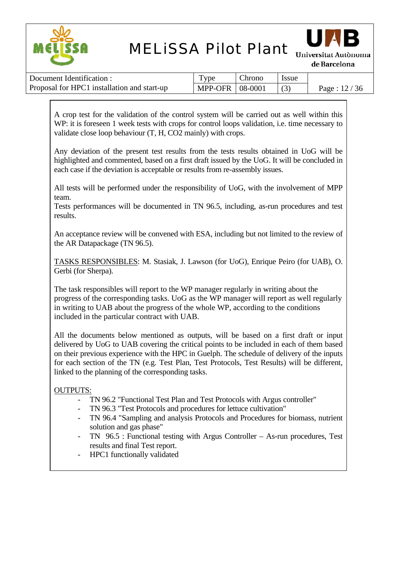



de Barcelona

| Document Identification :                   | <b>vpe</b>               | Chrono | <i>Issue</i> |               |
|---------------------------------------------|--------------------------|--------|--------------|---------------|
| Proposal for HPC1 installation and start-up | <b>MPP-OFR   08-0001</b> |        |              | Page: $12/36$ |

A crop test for the validation of the control system will be carried out as well within this WP: it is foreseen 1 week tests with crops for control loops validation, i.e. time necessary to validate close loop behaviour (T, H, CO2 mainly) with crops.

Any deviation of the present test results from the tests results obtained in UoG will be highlighted and commented, based on a first draft issued by the UoG. It will be concluded in each case if the deviation is acceptable or results from re-assembly issues.

All tests will be performed under the responsibility of UoG, with the involvement of MPP team.

Tests performances will be documented in TN 96.5, including, as-run procedures and test results.

An acceptance review will be convened with ESA, including but not limited to the review of the AR Datapackage (TN 96.5).

TASKS RESPONSIBLES: M. Stasiak, J. Lawson (for UoG), Enrique Peiro (for UAB), O. Gerbi (for Sherpa).

The task responsibles will report to the WP manager regularly in writing about the progress of the corresponding tasks. UoG as the WP manager will report as well regularly in writing to UAB about the progress of the whole WP, according to the conditions included in the particular contract with UAB.

All the documents below mentioned as outputs, will be based on a first draft or input delivered by UoG to UAB covering the critical points to be included in each of them based on their previous experience with the HPC in Guelph. The schedule of delivery of the inputs for each section of the TN (e.g. Test Plan, Test Protocols, Test Results) will be different, linked to the planning of the corresponding tasks.

OUTPUTS:

- TN 96.2 "Functional Test Plan and Test Protocols with Argus controller"
- TN 96.3 "Test Protocols and procedures for lettuce cultivation"
- TN 96.4 "Sampling and analysis Protocols and Procedures for biomass, nutrient solution and gas phase"
- $TN$  96.5 : Functional testing with Argus Controller As-run procedures, Test results and final Test report.
- HPC1 functionally validated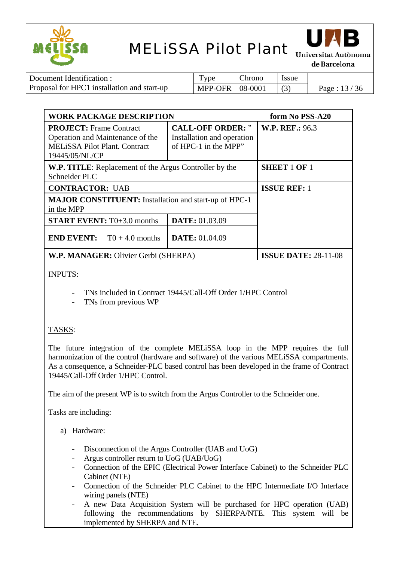



de Barcelona

| Document Identification :                   | Type                            | Chrono | <b>Issue</b> |               |
|---------------------------------------------|---------------------------------|--------|--------------|---------------|
| Proposal for HPC1 installation and start-up | $\vert$ MPP-OFR $\vert$ 08-0001 |        |              | Page: $13/36$ |

| <b>WORK PACKAGE DESCRIPTION</b>                                                                                              |                                                                                | form No PSS-A20             |
|------------------------------------------------------------------------------------------------------------------------------|--------------------------------------------------------------------------------|-----------------------------|
| <b>PROJECT:</b> Frame Contract<br>Operation and Maintenance of the<br><b>MELISSA Pilot Plant. Contract</b><br>19445/05/NL/CP | <b>CALL-OFF ORDER:</b> "<br>Installation and operation<br>of HPC-1 in the MPP" | <b>W.P. REF.: 96.3</b>      |
| W.P. TITLE: Replacement of the Argus Controller by the<br>Schneider PLC                                                      |                                                                                | <b>SHEET 1 OF 1</b>         |
| <b>CONTRACTOR: UAB</b>                                                                                                       |                                                                                | <b>ISSUE REF: 1</b>         |
| <b>MAJOR CONSTITUENT:</b> Installation and start-up of HPC-1<br>in the MPP                                                   |                                                                                |                             |
| <b>START EVENT:</b> T0+3.0 months                                                                                            | <b>DATE: 01.03.09</b>                                                          |                             |
| <b>END EVENT:</b> $T0 + 4.0$ months                                                                                          | <b>DATE:</b> 01.04.09                                                          |                             |
| W.P. MANAGER: Olivier Gerbi (SHERPA)                                                                                         |                                                                                | <b>ISSUE DATE: 28-11-08</b> |

### INPUTS:

- TNs included in Contract 19445/Call-Off Order 1/HPC Control
- TNs from previous WP

### TASKS:

The future integration of the complete MELiSSA loop in the MPP requires the full harmonization of the control (hardware and software) of the various MELiSSA compartments. As a consequence, a Schneider-PLC based control has been developed in the frame of Contract 19445/Call-Off Order 1/HPC Control.

The aim of the present WP is to switch from the Argus Controller to the Schneider one.

Tasks are including:

#### a) Hardware:

- Disconnection of the Argus Controller (UAB and UoG)
- Argus controller return to UoG (UAB/UoG)
- Connection of the EPIC (Electrical Power Interface Cabinet) to the Schneider PLC Cabinet (NTE)
- Connection of the Schneider PLC Cabinet to the HPC Intermediate I/O Interface wiring panels (NTE)
- A new Data Acquisition System will be purchased for HPC operation (UAB) following the recommendations by SHERPA/NTE. This system will be implemented by SHERPA and NTE.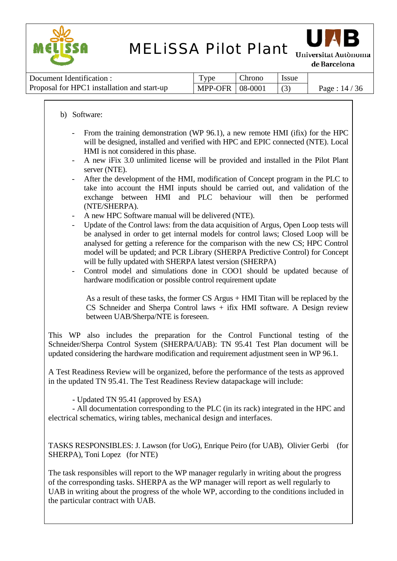



Universitat Autònoma de Barcelona

| Document Identification :                   | <b>vpe</b>        | Chrono | <i>ssue</i> |                |
|---------------------------------------------|-------------------|--------|-------------|----------------|
| Proposal for HPC1 installation and start-up | MPP-OFR   08-0001 |        |             | Page : $14/36$ |

#### b) Software:

- From the training demonstration (WP 96.1), a new remote HMI (ifix) for the HPC will be designed, installed and verified with HPC and EPIC connected (NTE). Local HMI is not considered in this phase.
- A new iFix 3.0 unlimited license will be provided and installed in the Pilot Plant server (NTE).
- After the development of the HMI, modification of Concept program in the PLC to take into account the HMI inputs should be carried out, and validation of the exchange between HMI and PLC behaviour will then be performed (NTE/SHERPA).
- A new HPC Software manual will be delivered (NTE).
- Update of the Control laws: from the data acquisition of Argus, Open Loop tests will be analysed in order to get internal models for control laws; Closed Loop will be analysed for getting a reference for the comparison with the new CS; HPC Control model will be updated; and PCR Library (SHERPA Predictive Control) for Concept will be fully updated with SHERPA latest version (SHERPA)

- Control model and simulations done in COO1 should be updated because of hardware modification or possible control requirement update

As a result of these tasks, the former CS Argus + HMI Titan will be replaced by the CS Schneider and Sherpa Control laws + ifix HMI software. A Design review between UAB/Sherpa/NTE is foreseen.

This WP also includes the preparation for the Control Functional testing of the Schneider/Sherpa Control System (SHERPA/UAB): TN 95.41 Test Plan document will be updated considering the hardware modification and requirement adjustment seen in WP 96.1.

A Test Readiness Review will be organized, before the performance of the tests as approved in the updated TN 95.41. The Test Readiness Review datapackage will include:

- Updated TN 95.41 (approved by ESA)

- All documentation corresponding to the PLC (in its rack) integrated in the HPC and electrical schematics, wiring tables, mechanical design and interfaces.

TASKS RESPONSIBLES: J. Lawson (for UoG), Enrique Peiro (for UAB), Olivier Gerbi (for SHERPA), Toni Lopez (for NTE)

The task responsibles will report to the WP manager regularly in writing about the progress of the corresponding tasks. SHERPA as the WP manager will report as well regularly to UAB in writing about the progress of the whole WP, according to the conditions included in the particular contract with UAB.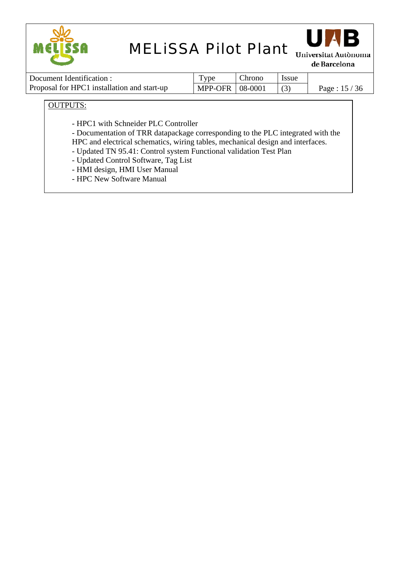



de Barcelona

| Document Identification :                   | $TV$ pe           | Chrono | <i>ssue</i> |               |
|---------------------------------------------|-------------------|--------|-------------|---------------|
| Proposal for HPC1 installation and start-up | MPP-OFR   08-0001 |        |             | Page: $15/36$ |

OUTPUTS:

- HPC1 with Schneider PLC Controller

- Documentation of TRR datapackage corresponding to the PLC integrated with the HPC and electrical schematics, wiring tables, mechanical design and interfaces.

- Updated TN 95.41: Control system Functional validation Test Plan
- Updated Control Software, Tag List
- HMI design, HMI User Manual
- HPC New Software Manual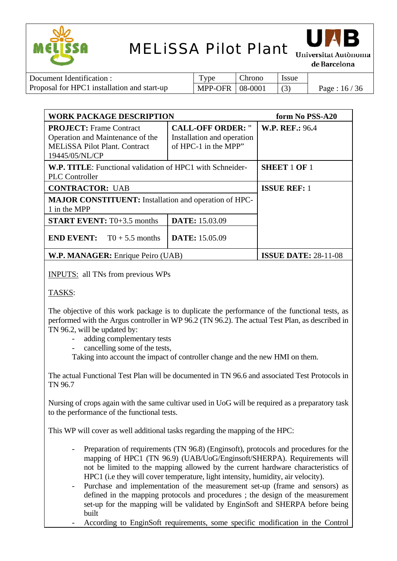



Universitat Autònoma de Barcelona

| Document Identification :                   | Type                            | Chrono | <b>Issue</b> |               |
|---------------------------------------------|---------------------------------|--------|--------------|---------------|
| Proposal for HPC1 installation and start-up | $\vert$ MPP-OFR $\vert$ 08-0001 |        |              | Page: $16/36$ |

| <b>WORK PACKAGE DESCRIPTION</b>                                                                                              | form No PSS-A20                                                                |                             |
|------------------------------------------------------------------------------------------------------------------------------|--------------------------------------------------------------------------------|-----------------------------|
| <b>PROJECT:</b> Frame Contract<br>Operation and Maintenance of the<br><b>MELISSA Pilot Plant. Contract</b><br>19445/05/NL/CP | <b>CALL-OFF ORDER:</b> "<br>Installation and operation<br>of HPC-1 in the MPP" | <b>W.P. REF.: 96.4</b>      |
| <b>W.P. TITLE:</b> Functional validation of HPC1 with Schneider-<br><b>PLC</b> Controller                                    | <b>SHEET 1 OF 1</b>                                                            |                             |
| <b>CONTRACTOR: UAB</b>                                                                                                       |                                                                                | <b>ISSUE REF: 1</b>         |
| <b>MAJOR CONSTITUENT:</b> Installation and operation of HPC-<br>1 in the MPP                                                 |                                                                                |                             |
| <b>START EVENT:</b> T0+3.5 months                                                                                            | <b>DATE: 15.03.09</b>                                                          |                             |
| <b>END EVENT:</b> $T0 + 5.5$ months                                                                                          | <b>DATE:</b> 15.05.09                                                          |                             |
| <b>W.P. MANAGER:</b> Enrique Peiro (UAB)                                                                                     |                                                                                | <b>ISSUE DATE: 28-11-08</b> |

INPUTS: all TNs from previous WPs

#### TASKS:

The objective of this work package is to duplicate the performance of the functional tests, as performed with the Argus controller in WP 96.2 (TN 96.2). The actual Test Plan, as described in TN 96.2, will be updated by:

- adding complementary tests
- cancelling some of the tests,

Taking into account the impact of controller change and the new HMI on them.

The actual Functional Test Plan will be documented in TN 96.6 and associated Test Protocols in TN 96.7

Nursing of crops again with the same cultivar used in UoG will be required as a preparatory task to the performance of the functional tests.

This WP will cover as well additional tasks regarding the mapping of the HPC:

- Preparation of requirements (TN 96.8) (Enginsoft), protocols and procedures for the mapping of HPC1 (TN 96.9) (UAB/UoG/Enginsoft/SHERPA). Requirements will not be limited to the mapping allowed by the current hardware characteristics of HPC1 (i.e they will cover temperature, light intensity, humidity, air velocity).
- Purchase and implementation of the measurement set-up (frame and sensors) as defined in the mapping protocols and procedures ; the design of the measurement set-up for the mapping will be validated by EnginSoft and SHERPA before being built
- According to EnginSoft requirements, some specific modification in the Control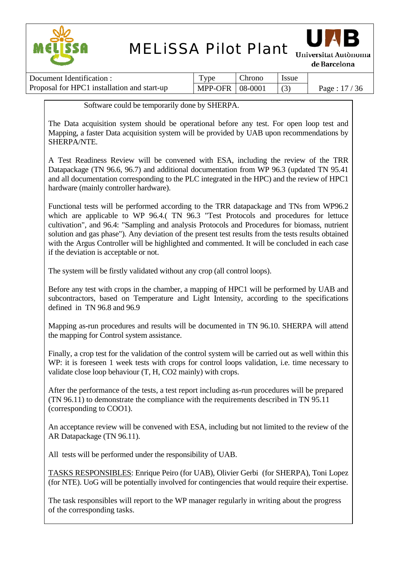



**Universitat Autònoma** de Barcelona

| Document Identification :                   | $TV$ pe                 | Chrono | <i>Issue</i> |               |
|---------------------------------------------|-------------------------|--------|--------------|---------------|
| Proposal for HPC1 installation and start-up | MPP-OFR $\vert$ 08-0001 |        |              | Page: $17/36$ |

Software could be temporarily done by SHERPA.

The Data acquisition system should be operational before any test. For open loop test and Mapping, a faster Data acquisition system will be provided by UAB upon recommendations by SHERPA/NTE.

A Test Readiness Review will be convened with ESA, including the review of the TRR Datapackage (TN 96.6, 96.7) and additional documentation from WP 96.3 (updated TN 95.41 and all documentation corresponding to the PLC integrated in the HPC) and the review of HPC1 hardware (mainly controller hardware).

Functional tests will be performed according to the TRR datapackage and TNs from WP96.2 which are applicable to WP 96.4.( TN 96.3 "Test Protocols and procedures for lettuce cultivation", and 96.4: "Sampling and analysis Protocols and Procedures for biomass, nutrient solution and gas phase"). Any deviation of the present test results from the tests results obtained with the Argus Controller will be highlighted and commented. It will be concluded in each case if the deviation is acceptable or not.

The system will be firstly validated without any crop (all control loops).

Before any test with crops in the chamber, a mapping of HPC1 will be performed by UAB and subcontractors, based on Temperature and Light Intensity, according to the specifications defined in TN 96.8 and 96.9

Mapping as-run procedures and results will be documented in TN 96.10. SHERPA will attend the mapping for Control system assistance.

Finally, a crop test for the validation of the control system will be carried out as well within this WP: it is foreseen 1 week tests with crops for control loops validation, i.e. time necessary to validate close loop behaviour (T, H, CO2 mainly) with crops.

After the performance of the tests, a test report including as-run procedures will be prepared (TN 96.11) to demonstrate the compliance with the requirements described in TN 95.11 (corresponding to COO1).

An acceptance review will be convened with ESA, including but not limited to the review of the AR Datapackage (TN 96.11).

All tests will be performed under the responsibility of UAB.

TASKS RESPONSIBLES: Enrique Peiro (for UAB), Olivier Gerbi (for SHERPA), Toni Lopez (for NTE). UoG will be potentially involved for contingencies that would require their expertise.

The task responsibles will report to the WP manager regularly in writing about the progress of the corresponding tasks.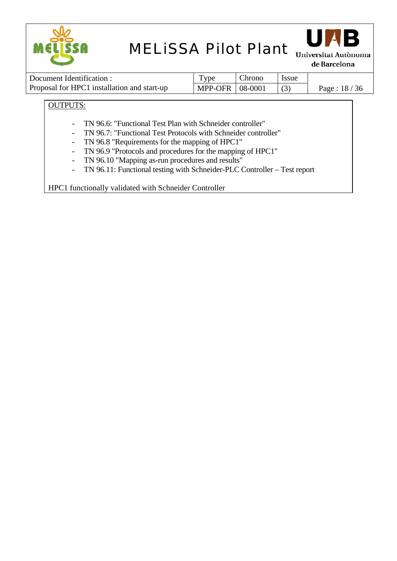



de Barcelona

| Document Identification :                   | <b>vpe</b>        | Chrono | <b>Issue</b> |               |
|---------------------------------------------|-------------------|--------|--------------|---------------|
| Proposal for HPC1 installation and start-up | MPP-OFR   08-0001 |        |              | Page: $18/36$ |

### OUTPUTS:

- TN 96.6: "Functional Test Plan with Schneider controller"
- TN 96.7: "Functional Test Protocols with Schneider controller"
- TN 96.8 "Requirements for the mapping of HPC1"
- TN 96.9 "Protocols and procedures for the mapping of HPC1"
- TN 96.10 "Mapping as-run procedures and results"
- TN 96.11: Functional testing with Schneider-PLC Controller Test report

HPC1 functionally validated with Schneider Controller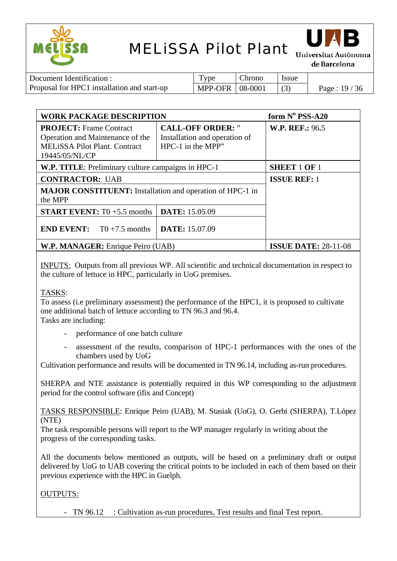



Universitat Autònoma de Barcelona

| Document Identification :                   | Type                | Chrono | l Issue |             |
|---------------------------------------------|---------------------|--------|---------|-------------|
| Proposal for HPC1 installation and start-up | $MPP-OFR$   08-0001 |        |         | Page: 19/36 |

| <b>WORK PACKAGE DESCRIPTION</b>                                                                                              | form $N^{\circ}$ PSS-A20                                                         |                        |
|------------------------------------------------------------------------------------------------------------------------------|----------------------------------------------------------------------------------|------------------------|
| <b>PROJECT:</b> Frame Contract<br>Operation and Maintenance of the<br><b>MELISSA Pilot Plant. Contract</b><br>19445/05/NL/CP | <b>CALL-OFF ORDER:</b> "<br>Installation and operation of<br>$HPC-1$ in the MPP" | <b>W.P. REF.: 96.5</b> |
| W.P. TITLE: Preliminary culture campaigns in HPC-1                                                                           | <b>SHEET 1 OF 1</b>                                                              |                        |
| <b>CONTRACTOR: UAB</b>                                                                                                       | <b>ISSUE REF: 1</b>                                                              |                        |
| <b>MAJOR CONSTITUENT:</b> Installation and operation of HPC-1 in<br>the MPP                                                  |                                                                                  |                        |
| <b>START EVENT:</b> T0 $+5.5$ months                                                                                         | DATE: 15.05.09                                                                   |                        |
| <b>END EVENT:</b> TO +7.5 months                                                                                             | <b>DATE: 15.07.09</b>                                                            |                        |
| W.P. MANAGER: Enrique Peiro (UAB)                                                                                            | <b>ISSUE DATE: 28-11-08</b>                                                      |                        |

INPUTS: Outputs from all previous WP. All scientific and technical documentation in respect to the culture of lettuce in HPC, particularly in UoG premises.

#### TASKS:

To assess (i.e preliminary assessment) the performance of the HPC1, it is proposed to cultivate one additional batch of lettuce according to TN 96.3 and 96.4. Tasks are including:

- performance of one batch culture
- assessment of the results, comparison of HPC-1 performances with the ones of the chambers used by UoG

Cultivation performance and results will be documented in TN 96.14, including as-run procedures.

SHERPA and NTE assistance is potentially required in this WP corresponding to the adjustment period for the control software (ifix and Concept)

TASKS RESPONSIBLE: Enrique Peiro (UAB), M. Stasiak (UoG), O. Gerbi (SHERPA), T.López (NTE)

The task responsible persons will report to the WP manager regularly in writing about the progress of the corresponding tasks.

All the documents below mentioned as outputs, will be based on a preliminary draft or output delivered by UoG to UAB covering the critical points to be included in each of them based on their previous experience with the HPC in Guelph.

#### OUTPUTS:

- TN 96.12 : Cultivation as-run procedures, Test results and final Test report.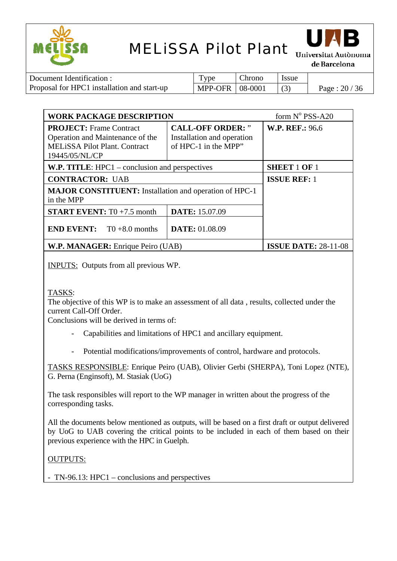



Universitat Autònoma de Barcelona

| Document Identification :                   | Type                | Chrono | Issue |               |
|---------------------------------------------|---------------------|--------|-------|---------------|
| Proposal for HPC1 installation and start-up | $MPP-OFR$   08-0001 |        |       | Page: $20/36$ |

| <b>WORK PACKAGE DESCRIPTION</b>                                                                                              | form $N^{\circ}$ PSS-A20                                                       |                        |
|------------------------------------------------------------------------------------------------------------------------------|--------------------------------------------------------------------------------|------------------------|
| <b>PROJECT:</b> Frame Contract<br>Operation and Maintenance of the<br><b>MELISSA Pilot Plant. Contract</b><br>19445/05/NL/CP | <b>CALL-OFF ORDER:</b> "<br>Installation and operation<br>of HPC-1 in the MPP" | <b>W.P. REF.: 96.6</b> |
| W.P. TITLE: HPC1 – conclusion and perspectives                                                                               | <b>SHEET 1 OF 1</b>                                                            |                        |
| <b>CONTRACTOR: UAB</b>                                                                                                       | <b>ISSUE REF: 1</b>                                                            |                        |
| <b>MAJOR CONSTITUENT:</b> Installation and operation of HPC-1<br>in the MPP                                                  |                                                                                |                        |
| <b>START EVENT:</b> T0 $+7.5$ month                                                                                          | <b>DATE: 15.07.09</b>                                                          |                        |
| <b>END EVENT:</b> TO +8.0 months                                                                                             | <b>DATE: 01.08.09</b>                                                          |                        |
| <b>W.P. MANAGER:</b> Enrique Peiro (UAB)                                                                                     | <b>ISSUE DATE: 28-11-08</b>                                                    |                        |

INPUTS: Outputs from all previous WP.

TASKS:

The objective of this WP is to make an assessment of all data , results, collected under the current Call-Off Order.

Conclusions will be derived in terms of:

- Capabilities and limitations of HPC1 and ancillary equipment.
- Potential modifications/improvements of control, hardware and protocols.

TASKS RESPONSIBLE: Enrique Peiro (UAB), Olivier Gerbi (SHERPA), Toni Lopez (NTE), G. Perna (Enginsoft), M. Stasiak (UoG)

The task responsibles will report to the WP manager in written about the progress of the corresponding tasks.

All the documents below mentioned as outputs, will be based on a first draft or output delivered by UoG to UAB covering the critical points to be included in each of them based on their previous experience with the HPC in Guelph.

#### OUTPUTS:

- TN-96.13: HPC1 – conclusions and perspectives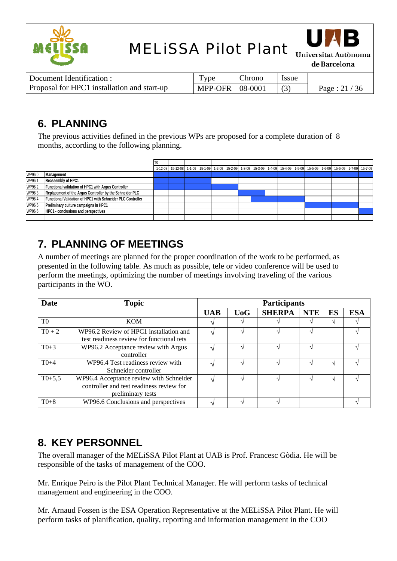



de Barcelona

| Document Identification :                   | <b>vpe</b>        | . hrono | <i>ssue</i> |               |
|---------------------------------------------|-------------------|---------|-------------|---------------|
| Proposal for HPC1 installation and start-up | MPP-OFR   08-0001 |         |             | Page: $21/36$ |

## **6. PLANNING**

The previous activities defined in the previous WPs are proposed for a complete duration of 8 months, according to the following planning.

|        |                                                             | T0 |                                                                                                                     |  |  |  |  |  |  |         |
|--------|-------------------------------------------------------------|----|---------------------------------------------------------------------------------------------------------------------|--|--|--|--|--|--|---------|
|        |                                                             |    | 1-12-08 15-12-08 1-1-09 15-1-09 1-2-09 15-2-09 1-3-09 15-3-09 1-4-09 15-4-09 15-5-09 15-5-09 16-6-09 15-6-09 1-7-09 |  |  |  |  |  |  | 15-7-09 |
| WP96.0 | Management                                                  |    |                                                                                                                     |  |  |  |  |  |  |         |
| WP96.1 | Reassembly of HPC1                                          |    |                                                                                                                     |  |  |  |  |  |  |         |
| WP96.2 | Functional validation of HPC1 with Argus Controller         |    |                                                                                                                     |  |  |  |  |  |  |         |
| WP96.3 | Replacement of the Argus Controller by the Schneider PLC    |    |                                                                                                                     |  |  |  |  |  |  |         |
| WP96.4 | Functional Validation of HPC1 with Schneider PLC Controller |    |                                                                                                                     |  |  |  |  |  |  |         |
| WP96.5 | Preliminary culture campaigns in HPC1                       |    |                                                                                                                     |  |  |  |  |  |  |         |
| WP96.6 | HPC1 - conclusions and perspectives                         |    |                                                                                                                     |  |  |  |  |  |  |         |
|        |                                                             |    |                                                                                                                     |  |  |  |  |  |  |         |

## **7. PLANNING OF MEETINGS**

A number of meetings are planned for the proper coordination of the work to be performed, as presented in the following table. As much as possible, tele or video conference will be used to perform the meetings, optimizing the number of meetings involving traveling of the various participants in the WO.

| Date           | <b>Topic</b>                                                                                             | <b>Participants</b> |     |               |            |    |            |  |
|----------------|----------------------------------------------------------------------------------------------------------|---------------------|-----|---------------|------------|----|------------|--|
|                |                                                                                                          | <b>UAB</b>          | UoG | <b>SHERPA</b> | <b>NTE</b> | ES | <b>ESA</b> |  |
| T <sub>0</sub> | <b>KOM</b>                                                                                               |                     |     |               |            |    |            |  |
| $T0 + 2$       | WP96.2 Review of HPC1 installation and<br>test readiness review for functional tets                      |                     |     |               |            |    |            |  |
| $T0+3$         | WP96.2 Acceptance review with Argus<br>controller                                                        |                     |     |               |            |    |            |  |
| $T0+4$         | WP96.4 Test readiness review with<br>Schneider controller                                                |                     |     |               |            |    |            |  |
| $T0+5,5$       | WP96.4 Acceptance review with Schneider<br>controller and test readiness review for<br>preliminary tests |                     |     |               |            |    |            |  |
| $T0+8$         | WP96.6 Conclusions and perspectives                                                                      |                     |     |               |            |    |            |  |

## **8. KEY PERSONNEL**

The overall manager of the MELiSSA Pilot Plant at UAB is Prof. Francesc Gòdia. He will be responsible of the tasks of management of the COO.

Mr. Enrique Peiro is the Pilot Plant Technical Manager. He will perform tasks of technical management and engineering in the COO.

Mr. Arnaud Fossen is the ESA Operation Representative at the MELiSSA Pilot Plant. He will perform tasks of planification, quality, reporting and information management in the COO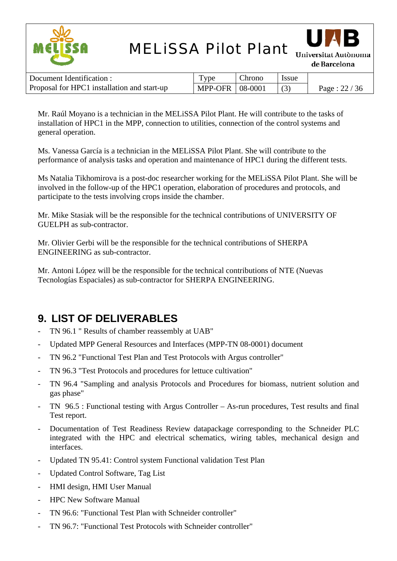



de Barcelona

| Document Identification :                   | Type                | Chrono | l Issue |               |
|---------------------------------------------|---------------------|--------|---------|---------------|
| Proposal for HPC1 installation and start-up | $MPP-OFR$   08-0001 |        |         | Page: $22/36$ |

Mr. Raúl Moyano is a technician in the MELiSSA Pilot Plant. He will contribute to the tasks of installation of HPC1 in the MPP, connection to utilities, connection of the control systems and general operation.

Ms. Vanessa García is a technician in the MELiSSA Pilot Plant. She will contribute to the performance of analysis tasks and operation and maintenance of HPC1 during the different tests.

Ms Natalia Tikhomirova is a post-doc researcher working for the MELiSSA Pilot Plant. She will be involved in the follow-up of the HPC1 operation, elaboration of procedures and protocols, and participate to the tests involving crops inside the chamber.

Mr. Mike Stasiak will be the responsible for the technical contributions of UNIVERSITY OF GUELPH as sub-contractor.

Mr. Olivier Gerbi will be the responsible for the technical contributions of SHERPA ENGINEERING as sub-contractor.

Mr. Antoni López will be the responsible for the technical contributions of NTE (Nuevas Tecnologías Espaciales) as sub-contractor for SHERPA ENGINEERING.

## **9. LIST OF DELIVERABLES**

- TN 96.1 " Results of chamber reassembly at UAB"
- Updated MPP General Resources and Interfaces (MPP-TN 08-0001) document
- TN 96.2 "Functional Test Plan and Test Protocols with Argus controller"
- TN 96.3 "Test Protocols and procedures for lettuce cultivation"
- TN 96.4 "Sampling and analysis Protocols and Procedures for biomass, nutrient solution and gas phase"
- TN 96.5 : Functional testing with Argus Controller As-run procedures, Test results and final Test report.
- Documentation of Test Readiness Review datapackage corresponding to the Schneider PLC integrated with the HPC and electrical schematics, wiring tables, mechanical design and interfaces.
- Updated TN 95.41: Control system Functional validation Test Plan
- Updated Control Software, Tag List
- HMI design, HMI User Manual
- HPC New Software Manual
- TN 96.6: "Functional Test Plan with Schneider controller"
- TN 96.7: "Functional Test Protocols with Schneider controller"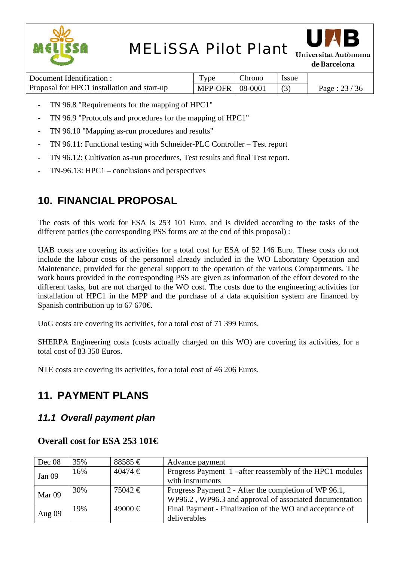



Universitat Autònoma de Barcelona

| Document Identification :                   | ype               | hrono. | <i>Issue</i> |                |
|---------------------------------------------|-------------------|--------|--------------|----------------|
| Proposal for HPC1 installation and start-up | MPP-OFR   08-0001 |        |              | Page : $23/36$ |

- TN 96.8 "Requirements for the mapping of HPC1"
- TN 96.9 "Protocols and procedures for the mapping of HPC1"
- TN 96.10 "Mapping as-run procedures and results"
- TN 96.11: Functional testing with Schneider-PLC Controller Test report
- TN 96.12: Cultivation as-run procedures, Test results and final Test report.
- $TN-96.13$ : HPC1 conclusions and perspectives

## **10. FINANCIAL PROPOSAL**

The costs of this work for ESA is 253 101 Euro, and is divided according to the tasks of the different parties (the corresponding PSS forms are at the end of this proposal) :

UAB costs are covering its activities for a total cost for ESA of 52 146 Euro. These costs do not include the labour costs of the personnel already included in the WO Laboratory Operation and Maintenance, provided for the general support to the operation of the various Compartments. The work hours provided in the corresponding PSS are given as information of the effort devoted to the different tasks, but are not charged to the WO cost. The costs due to the engineering activities for installation of HPC1 in the MPP and the purchase of a data acquisition system are financed by Spanish contribution up to 67 670 $\in$ .

UoG costs are covering its activities, for a total cost of 71 399 Euros.

SHERPA Engineering costs (costs actually charged on this WO) are covering its activities, for a total cost of 83 350 Euros.

NTE costs are covering its activities, for a total cost of 46 206 Euros.

## **11. PAYMENT PLANS**

### *11.1 Overall payment plan*

### **Overall cost for ESA 253 101€**

| Dec 08            | 35% | $88585 \in$ | Advance payment                                          |
|-------------------|-----|-------------|----------------------------------------------------------|
| Jan 09            | 16% | $40474 \in$ | Progress Payment 1 –after reassembly of the HPC1 modules |
|                   |     |             | with instruments                                         |
|                   | 30% | $75042 \in$ | Progress Payment 2 - After the completion of WP 96.1,    |
| Mar <sub>09</sub> |     |             | WP96.2, WP96.3 and approval of associated documentation  |
|                   | 19% | $49000 \in$ | Final Payment - Finalization of the WO and acceptance of |
| Aug 09            |     |             | deliverables                                             |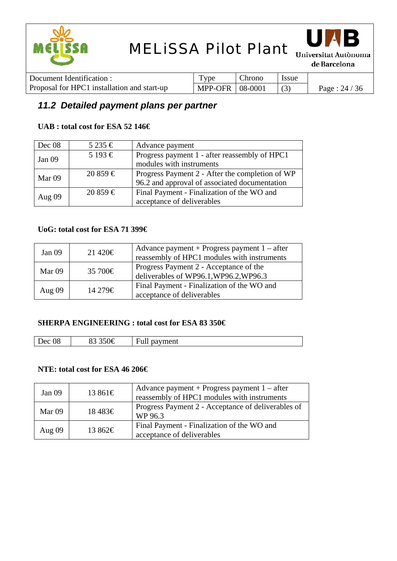



Universitat Autònoma de Barcelona

| Document Identification :                   | I vpe             | Chrono | <i>ssue</i> |                |
|---------------------------------------------|-------------------|--------|-------------|----------------|
| Proposal for HPC1 installation and start-up | MPP-OFR   08-0001 |        |             | Page : $24/36$ |

### *11.2 Detailed payment plans per partner*

### **UAB : total cost for ESA 52 146€**

| Dec 08   | $5235 \in$  | Advance payment                                 |
|----------|-------------|-------------------------------------------------|
| Jan $09$ | 5 193 €     | Progress payment 1 - after reassembly of HPC1   |
|          |             | modules with instruments                        |
|          | $20859 \in$ | Progress Payment 2 - After the completion of WP |
| Mar 09   |             | 96.2 and approval of associated documentation   |
|          | $20859 \in$ | Final Payment - Finalization of the WO and      |
| Aug $09$ |             | acceptance of deliverables                      |

### **UoG: total cost for ESA 71 399€**

| Jan $09$ | $21\,420€$   | Advance payment + Progress payment $1 -$ after<br>reassembly of HPC1 modules with instruments |
|----------|--------------|-----------------------------------------------------------------------------------------------|
| Mar 09   | 35 700 $\in$ | Progress Payment 2 - Acceptance of the<br>deliverables of WP96.1, WP96.2, WP96.3              |
| Aug $09$ | 14 279€      | Final Payment - Finalization of the WO and<br>acceptance of deliverables                      |

#### **SHERPA ENGINEERING : total cost for ESA 83 350€**

| 08<br>Dec<br>pavment<br>ы<br>'un |  |  |
|----------------------------------|--|--|
|                                  |  |  |

#### **NTE: total cost for ESA 46 206€**

| Jan $09$ | 13861€ | Advance payment + Progress payment $1 -$ after<br>reassembly of HPC1 modules with instruments |
|----------|--------|-----------------------------------------------------------------------------------------------|
| Mar 09   | 18483€ | Progress Payment 2 - Acceptance of deliverables of<br>WP 96.3                                 |
| Aug $09$ | 13862€ | Final Payment - Finalization of the WO and<br>acceptance of deliverables                      |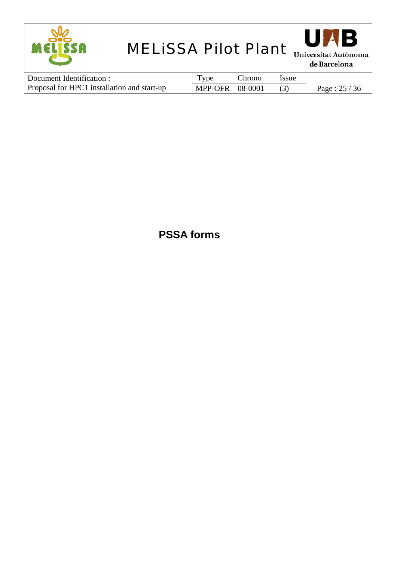



de Barcelona

| Document Identification :                   | $_{\rm vpe}$      | Chrono | <b>Issue</b> |               |
|---------------------------------------------|-------------------|--------|--------------|---------------|
| Proposal for HPC1 installation and start-up | MPP-OFR   08-0001 |        |              | Page: $25/36$ |

## **PSSA forms**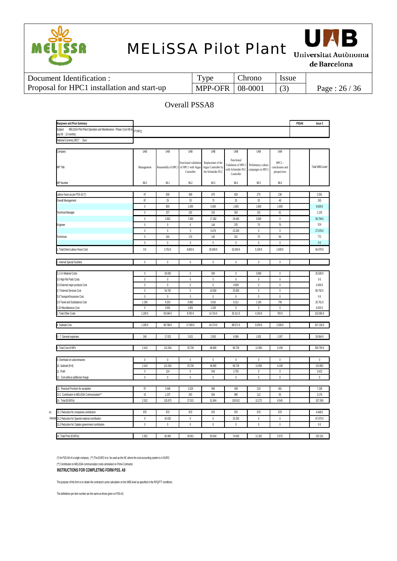



de Barcelona

| Document Identification :                   | Type                    | Chrono | l Issue |               |
|---------------------------------------------|-------------------------|--------|---------|---------------|
| Proposal for HPC1 installation and start-up | MPP-OFR $\vert$ 08-0001 |        |         | Page: $26/36$ |

#### Overall PSSA8

| Manpower and Price Summary                                                                           |                 |              |                                       |                     |                                          |                                          |                 | PSSA8 | <b>Issue 3</b>  |
|------------------------------------------------------------------------------------------------------|-----------------|--------------|---------------------------------------|---------------------|------------------------------------------|------------------------------------------|-----------------|-------|-----------------|
| MELISSA Pilot Plant Operation and Maintenance - Phase 3 (oct 08 to<br>Subject<br>sep 09 : 12 months) | <b>ITT/RFQ:</b> |              |                                       |                     |                                          |                                          |                 |       |                 |
| National Currency (NC)*: Euro                                                                        |                 |              |                                       |                     |                                          |                                          |                 |       |                 |
|                                                                                                      |                 |              |                                       |                     |                                          |                                          |                 |       |                 |
| Company                                                                                              | UAB             | UAB          | UAB                                   | UAB                 | UAB                                      | UAB                                      | UAB             |       |                 |
|                                                                                                      |                 |              | Functional validation                 | Replacemnt of the   | Functional                               |                                          | HPC1-           |       |                 |
| <b>WP Title</b>                                                                                      | Management      |              | Reassembly of HPC1 of HPC1 with Argus | Argus Controller by | Validation of HPC1<br>with Schneider PLC | Preliminary culture<br>campaigns in HPC1 | conclusions and |       | Total WBS-Level |
|                                                                                                      |                 |              | Controller                            | the Schneider PLC   | Controller                               |                                          | perspectives    |       |                 |
| <b>WP Number</b>                                                                                     | 96.0            | 96.1         | 96.2                                  | 96.3                | 96.4                                     | 96.5                                     | 96.6            |       |                 |
|                                                                                                      |                 |              |                                       |                     |                                          |                                          |                 |       |                 |
| Labour hours as per PSS A2 (*)                                                                       | 97              | 506          | 399                                   | 670                 | 918                                      | 275                                      | 236             |       | 2.591           |
| Overall Management                                                                                   | 97              | 25           | 33                                    | 73                  | 33                                       | 33                                       | 48              |       | 263             |
|                                                                                                      | $\mathbf{0}$    | 800          | 1.600                                 | 5.600               | 1.600                                    | 1.600                                    | 1.600           |       | 9.600€          |
| Technical Manager                                                                                    | $\mathbb O$     | 237          | 192                                   | 310                 | 363                                      | 101                                      | 61              |       | 1.103           |
|                                                                                                      | $\mathbb O$     | 2.952        | 7.000                                 | 17.382              | 29.460                                   | 3.500                                    | $\mathbb O$     |       | 56.794€         |
| Engineer                                                                                             | $\theta$        | $\mathbb O$  | $\mathbf 0$                           | 144                 | 370                                      | $70\,$                                   | $70\,$          |       | 514             |
|                                                                                                      | $\mathbb O$     | $\,0\,$      | $\mathbb O$                           | 5.476               | 22.200                                   | $\mathbb 0$                              | $\mathbb O$     |       | 27.676€         |
| Technician                                                                                           | $\mathbb O$     | 244          | 174                                   | 142                 | 151                                      | 70                                       | 56              |       | 711             |
|                                                                                                      | $\mathbf{0}$    | $\mathbf{0}$ | $\mathbf 0$                           | $\mathbf 0$         | $\mathbf 0$                              | $\mathbf 0$                              | $\mathbf{0}$    |       | 0€              |
| Total Direct Labour Hours Cost                                                                       | 0€              | 3.752€       | 8.600€                                | 28.458€             | 53.260€                                  | 5.100€                                   | 1.600€          |       | 94.070€         |
|                                                                                                      |                 |              |                                       |                     |                                          |                                          |                 |       |                 |
| Internal Special Facilities                                                                          | $\mathbb O$     | $\mathbb O$  | $\mathbb O$                           | $\mathbb 0$         | $\mathbb O$                              | $\mathbb 0$                              | $\mathbb O$     |       |                 |
| 3.1-3.4 Material Costs                                                                               | $\mathbb O$     | 26.000       | $\mathbb O$                           | 500                 | $\mathbb{0}$                             | 3.000                                    | $\mathbb O$     |       | 26.500€         |
| 3.5 High Rel Parts Costs                                                                             | $\mathbb O$     | 0            | $\mathbb O$                           | 0                   | $\mathbf 0$                              | 0                                        | $\mathbb O$     |       | 0€              |
| 3.6 External major products Cost                                                                     | $\mathbb O$     | $\theta$     | 0                                     | 0                   | 4.000                                    | 0                                        | $\mathbb O$     |       | 4.000€          |
| 3.7 External Services Cost                                                                           | $\mathbf{0}$    | 54.792       | $\mathbf 0$                           | 10.000              | 25.000                                   | $\mathbf 0$                              | $\mathbf{0}$    |       | 89.792€         |
| 3.8 Transport/Insurance Cost                                                                         | 0               | $\theta$     | 0                                     | 0                   | 0                                        | $\mathbf{0}$                             | $\mathbf{0}$    |       | 0€              |
| 3.9 Travel and Subsistance Cost                                                                      | 1.200           | 9.253        | 6.982                                 | 3.016               | 6.311                                    | 1.150                                    | 700             |       | 26.761€         |
| 3.10 Miscellaneous Cost                                                                              | $\theta$        | 3.001        | 1.801                                 | 1.200               | $\theta$                                 | $\mathbf{0}$                             | $\mathbf{0}$    |       | 6.002€          |
| <b>Total Other Costs</b>                                                                             | 1.200€          | 93.046 €     | 8.783€                                | 14.716 €            | 35.311 €                                 | 4.150€                                   | 700€            |       | 153.056€        |
| Subtotal Cost                                                                                        | 1.200 €         | 96.798€      | 17.383 €                              | 43.174 €            | 88.571€                                  | 9.250€                                   | 2.300€          |       | 247.126€        |
|                                                                                                      |                 |              |                                       |                     |                                          |                                          |                 |       |                 |
| - 7. General expenses                                                                                | 240             | 17.023       | 2.621                                 | 2.093               | 6.086                                    | 1.001                                    | 1.007           |       | 28.064€         |
|                                                                                                      |                 |              |                                       |                     |                                          |                                          |                 |       |                 |
| Total Cost of WPs                                                                                    | 2.410           | 121.016      | 25.739                                | 49.900              | 96.729                                   | 11.950                                   | 6.109           |       | 295.793€        |
| . Overhead on subcontractors                                                                         | $\mathbb O$     | $\mathbb O$  | $\mathbb O$                           | 0                   | $\mathbb O$                              | $\mathbb 0$                              | $\mathbb O$     |       | $\mathbb 0$     |
| 10. Subtotal $(8+9)$                                                                                 | 2.410           | 121.016      | 25.739                                | 49.900              | 96.729                                   | 11.950                                   | 6.109           |       | 313.852         |
| 11. Profit                                                                                           | $\mathbb O$     | 124          | $\mathbb{0}$                          | 543                 | 2.755                                    | $\mathbb O$                              | $\mathbb O$     |       | 3.423           |
| 12. Cost without additional charge                                                                   | $\mathbf{0}$    | $\mathbf 0$  | $\overline{0}$                        | $\mathbf 0$         | $\mathbf 0$                              | $\mathbf 0$                              | $\mathbf 0$     |       | $\mathbf{0}$    |
|                                                                                                      |                 |              |                                       |                     |                                          |                                          |                 |       |                 |
| 13. Financial Provision for escalation                                                               | 97              | 3.496        | 1.529                                 | 956                 | 439                                      | 210                                      | 381             |       | 7.108           |
| 13.1 Contribution to MELISSA Communication**                                                         | 15              | 1.237        | 263                                   | 504                 | 990                                      | 112                                      | 55              |       | 3.176           |
| 14. Total (EUROs)                                                                                    | 2.522           | 125.873      | 27.531                                | 51.904              | 100.912                                  | 12.272                                   | 6.545           |       | 327.559         |
| 15.1 Reduction for companies contribution                                                            | 970             | 970          | 970                                   | 970                 | 970                                      | 970                                      | 970             |       | 4.848€          |
| 15.2 Reduction for Spanish national contribution                                                     | $\mathbb O$     | 42.420       | 0                                     | 0                   | 25.250                                   | 0                                        | $\mathbb O$     |       | 67.670€         |
| 5.3 Reduction for Catalan government contribution                                                    | $\mathbf{0}$    | $\mathbf 0$  | $\mathbf 0$                           | $\mathbf 0$         | $\mathbf 0$                              | $\mathbb O$                              | $\mathbf{0}$    |       | 0€              |
|                                                                                                      |                 |              |                                       |                     |                                          |                                          |                 |       |                 |
| 16. Total Price (EUROs)                                                                              | 1.552           | 82.483       | 26.561                                | 50.934              | 74.693                                   | 11.302                                   | 5.575           |       | 253.101         |

(\*) for PSS A8 of a single company . (\*\*) The EURO is to be used as the NC where the cost accounting system is in EURO

(\*\*) Contribution to MELiSSA communication costs centralized on Prime Contractor

**INSTRUCTIONS FOR COMPLETING FORM PSS. A8**

The purpose of this form is to obtain the contractor's price calculation on the WBS level as specified in the RFQ/ITT conditions.

The definitions per item number are the same as those given on PSS-A2.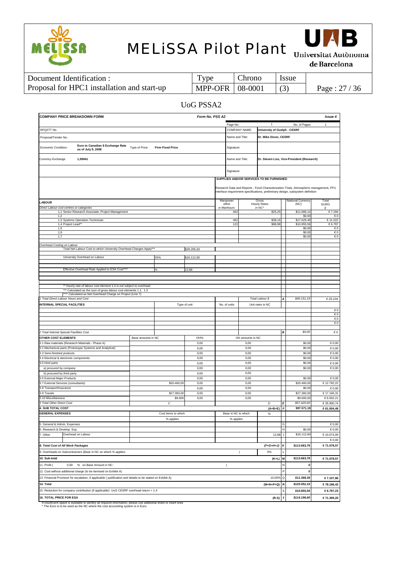



de Barcelona

| Document Identification :                   | Type              | Chrono | l Issue |               |
|---------------------------------------------|-------------------|--------|---------|---------------|
| Proposal for HPC1 installation and start-up | MPP-OFR   08-0001 |        |         | Page: $27/36$ |

#### UoG PSSA2

| <b>COMPANY PRICE BREAKDOWN FORM</b><br>Form No. PSS A2<br>Issue 4                                                              |                    |                         |              |  |                     |                  |                                          |             |                                                                                                                                                                         |                        |
|--------------------------------------------------------------------------------------------------------------------------------|--------------------|-------------------------|--------------|--|---------------------|------------------|------------------------------------------|-------------|-------------------------------------------------------------------------------------------------------------------------------------------------------------------------|------------------------|
|                                                                                                                                |                    |                         |              |  | Page No.            |                  |                                          |             | No. of Pages                                                                                                                                                            | $\mathbf{1}$           |
| RFQ/ITT No.                                                                                                                    |                    |                         |              |  |                     | COMPANY NAME:    | <b>University of Guelph - CESRF</b>      |             |                                                                                                                                                                         |                        |
| Proposal/Tender No.:                                                                                                           |                    |                         |              |  | Name and Title:     |                  | Dr. Mike Dixon, CESRF                    |             |                                                                                                                                                                         |                        |
| Euro to Canadian \$ Exchange Rate<br>Economic Condition:<br>as of July 9, 2008                                                 | Type of Price:     | <b>Firm Fixed Price</b> |              |  | Signature           |                  |                                          |             |                                                                                                                                                                         |                        |
| Currency Exchange<br>1,59941                                                                                                   |                    |                         |              |  | Name and Title:     |                  |                                          |             | Dr. Steven Liss, Vice-President (Research)                                                                                                                              |                        |
|                                                                                                                                |                    |                         |              |  | Signature           |                  |                                          |             |                                                                                                                                                                         |                        |
|                                                                                                                                |                    |                         |              |  |                     |                  | SUPPLIES AND/OR SERVICES TO BE FURNISHED |             |                                                                                                                                                                         |                        |
|                                                                                                                                |                    |                         |              |  |                     |                  |                                          |             | Research Data and Reports - Food Characterization Trials, Atmospheric management, FPU<br>interface requirement specifications, preliminary design, subsystem definition |                        |
| <b>LABOUR</b>                                                                                                                  |                    |                         |              |  | Manpower<br>effort  |                  | Gross<br><b>Hourly Rates</b>             |             | National Currency<br>(NC)                                                                                                                                               | Total<br><b>EURO</b>   |
| Direct Labour cost centres or categories<br>1,1 Senior Research Associate, Project Management                                  |                    |                         |              |  | in Manhours<br>462  |                  | in NC'<br>\$25,25                        |             | \$11.666,14                                                                                                                                                             | €<br>€7.294            |
| 1,2                                                                                                                            |                    |                         |              |  |                     |                  |                                          |             | \$0,00                                                                                                                                                                  | $\epsilon$ 0           |
| 1,3 Systems Operation Technician                                                                                               |                    |                         |              |  | 462                 |                  | \$38,16                                  |             | \$17.629,49                                                                                                                                                             | €11.022                |
| 1,4 Project Lead**<br>1,5                                                                                                      |                    |                         |              |  | 122                 |                  | \$88,98                                  |             | \$10.855,56<br>\$0,00                                                                                                                                                   | €6.787<br>$\epsilon$ 0 |
| 1,6                                                                                                                            |                    |                         |              |  |                     |                  |                                          |             | \$0,00                                                                                                                                                                  | €0                     |
| 1,7                                                                                                                            |                    |                         |              |  |                     |                  |                                          |             | \$0,00                                                                                                                                                                  | €0                     |
|                                                                                                                                |                    |                         |              |  |                     |                  |                                          |             |                                                                                                                                                                         |                        |
| Overhead Costing on Labour<br>Total Net Labour Cost to which University Overhead Charges Apply***                              |                    |                         | \$29.295,63  |  |                     |                  |                                          |             |                                                                                                                                                                         |                        |
| University Overhead on Labour                                                                                                  |                    | 55%                     | \$16.112,60  |  |                     |                  |                                          |             |                                                                                                                                                                         |                        |
|                                                                                                                                |                    |                         |              |  |                     |                  |                                          |             |                                                                                                                                                                         |                        |
| Effective Overhead Rate Applied to ESA Cost****                                                                                |                    | ℅                       | 12,88        |  |                     |                  |                                          |             |                                                                                                                                                                         |                        |
|                                                                                                                                |                    |                         |              |  |                     |                  |                                          |             |                                                                                                                                                                         |                        |
|                                                                                                                                |                    |                         |              |  |                     |                  |                                          |             |                                                                                                                                                                         |                        |
| ** Hourly rate of labour cost element 1.4 is not subject to overhead                                                           |                    |                         |              |  |                     |                  |                                          |             |                                                                                                                                                                         |                        |
| *** Calculated as the sum of gross labour cost elements 1.1, 1.3<br>**** Calculated as Net Overhead Charge on Project (Line 7) |                    |                         |              |  |                     |                  |                                          |             |                                                                                                                                                                         |                        |
| 1 Total Direct Labour Hours and Cost                                                                                           |                    |                         |              |  |                     |                  | Total Labour \$                          |             | \$40.151,19                                                                                                                                                             | € 25.104               |
| INTERNAL SPECIAL FACILITIES                                                                                                    |                    |                         | Type of unit |  | No. of units        | Unit rates in NC |                                          |             |                                                                                                                                                                         |                        |
|                                                                                                                                |                    |                         |              |  |                     |                  |                                          |             |                                                                                                                                                                         | $\epsilon$ 0           |
|                                                                                                                                |                    |                         |              |  |                     |                  |                                          |             |                                                                                                                                                                         | $\epsilon$ 0           |
|                                                                                                                                |                    |                         |              |  |                     |                  |                                          |             |                                                                                                                                                                         | €0                     |
|                                                                                                                                |                    |                         |              |  |                     |                  |                                          |             |                                                                                                                                                                         | €0                     |
|                                                                                                                                |                    |                         |              |  |                     |                  |                                          |             |                                                                                                                                                                         |                        |
| 2 Total Internal Special Facilities Cost                                                                                       |                    |                         |              |  |                     |                  |                                          | В           | \$0,00                                                                                                                                                                  | $\epsilon$ $o$         |
| <b>OTHER COST ELEMENTS</b>                                                                                                     | Base amounts in NC |                         | OH%          |  |                     | OH amounts in NC |                                          |             |                                                                                                                                                                         |                        |
| 3.1 Raw materials (Research Materials - Phase A)                                                                               |                    |                         | 0,00         |  |                     | 0,00             |                                          |             | \$0,00                                                                                                                                                                  | €0,00                  |
| 3.2 Mechanical parts (Prototoype Systems and Analytical)                                                                       |                    |                         | 0,00         |  |                     | 0,00             |                                          |             | \$0,00                                                                                                                                                                  | €0,00                  |
| 3.3 Semi-finished products                                                                                                     |                    |                         | 0,00         |  |                     | 0,00             |                                          |             | \$0,00                                                                                                                                                                  | $\epsilon$ 0,00        |
| 3.4 Electrical & electronic components<br>3.5 Hirel parts                                                                      |                    |                         | 0,00         |  |                     | 0,00<br>0,00     |                                          |             | \$0,00<br>\$0,00                                                                                                                                                        | €0,00                  |
| a) procured by company                                                                                                         |                    |                         | 0,00<br>0,00 |  |                     | 0,00             |                                          |             | \$0,00                                                                                                                                                                  | €0,00<br>€0,00         |
| b) procured by third party                                                                                                     |                    |                         | 0,00         |  |                     | 0,00             |                                          |             |                                                                                                                                                                         |                        |
| 3.6 External Major Products                                                                                                    |                    |                         | 0,00         |  |                     | 0,00             |                                          |             | \$0,00                                                                                                                                                                  | €0,00                  |
| 3.7 External Services (consultants)                                                                                            |                    | \$20.460,00             | 0,00         |  |                     | 0,00             |                                          |             | \$20.460,00                                                                                                                                                             | €12.792,22             |
| 3.8 Transport/Insurance                                                                                                        |                    |                         | 0,00         |  |                     | 0,00             |                                          |             | \$0,00                                                                                                                                                                  | €0,00                  |
| 3.9 Travels                                                                                                                    |                    | \$27.360,00             | 0,00         |  |                     | 0,00             |                                          |             | \$27.360,00                                                                                                                                                             | €17.106,31             |
| .10 Miscellaneous                                                                                                              |                    | \$9.600                 | 0,00         |  |                     | 0,00             |                                          |             | \$9.600,00                                                                                                                                                              | €6.002,21              |
| 3 Total Other Direct Cost                                                                                                      |                    | С                       |              |  |                     |                  | D                                        | E           | \$57.420,00                                                                                                                                                             | €35.900,74             |
| <b>4. SUB TOTAL COST</b>                                                                                                       |                    |                         |              |  |                     |                  | $(A+B+E)$                                | F           | \$97.571,19                                                                                                                                                             | €61.004,49             |
| <b>GENERAL EXPENSES</b>                                                                                                        |                    | Cost items to which     |              |  | Base in NC to which |                  | %                                        |             |                                                                                                                                                                         |                        |
| 5. General & Admin. Expenses                                                                                                   |                    | % applies               |              |  | % applies           |                  |                                          | G           |                                                                                                                                                                         | €0,00                  |
| 6. Research & Develop. Exp.                                                                                                    |                    |                         |              |  |                     |                  |                                          | H           | \$0,00                                                                                                                                                                  | $\epsilon$ 0,00        |
| Overhead on Labour<br>7. Other                                                                                                 |                    |                         |              |  |                     |                  | 12,88                                    | J           | \$16.112,60                                                                                                                                                             | €10.074,09             |
|                                                                                                                                |                    |                         |              |  |                     |                  |                                          |             |                                                                                                                                                                         | €0,00                  |
| 8. Total Cost of All Work Packages<br>$(F+G+H+J)$                                                                              |                    |                         |              |  |                     | к                | \$113.683,78                             | €71.078,57  |                                                                                                                                                                         |                        |
| 9. Overheads on Subcontractors (Base in NC on which % applies:<br>0%<br>$\lambda$                                              |                    |                         |              |  |                     |                  |                                          |             |                                                                                                                                                                         |                        |
|                                                                                                                                |                    |                         |              |  |                     |                  |                                          |             |                                                                                                                                                                         |                        |
| 10. Sub-total                                                                                                                  |                    |                         |              |  |                     |                  | $(K+L)$                                  | M           | \$113.683,78                                                                                                                                                            | €71.078,57             |
| 11. Profit (<br>0,00<br>% on Base Amount in NC:                                                                                |                    |                         |              |  | $\lambda$           |                  |                                          | N           | 0                                                                                                                                                                       |                        |
| 12. Cost without additional charge (to be itemised on Exhibit A)                                                               |                    |                         |              |  |                     |                  |                                          | F           | 0                                                                                                                                                                       |                        |
| 13. Financial Provision for escalation, if applicable (justification and details to be stated on Exhibit A)                    |                    |                         |              |  |                     |                  | 10,00%                                   | Q           | \$11.368,38                                                                                                                                                             | €7.107,86              |
| 14. Total                                                                                                                      |                    |                         |              |  |                     |                  | $(M+N+P+Q)$                              | $\mathbf R$ | \$125.052,16                                                                                                                                                            | €78.186,43             |
| 15. Reduction for company contribution (if applicable) UoG CESRF overhead return + 1.4                                         |                    |                         |              |  |                     |                  |                                          | S           | \$10.855,56                                                                                                                                                             | €6.787,23              |
| <b>16. TOTAL PRICE FOR ESA</b>                                                                                                 |                    |                         |              |  |                     |                  | $(R-S)$                                  | Τ           | \$114.196,60                                                                                                                                                            | €71.399,20             |

If insufficient space is available to identify all required information, please use additional sheet or insert lines \* The Euro is to be used as the NC where the cost accounting system is in Euro.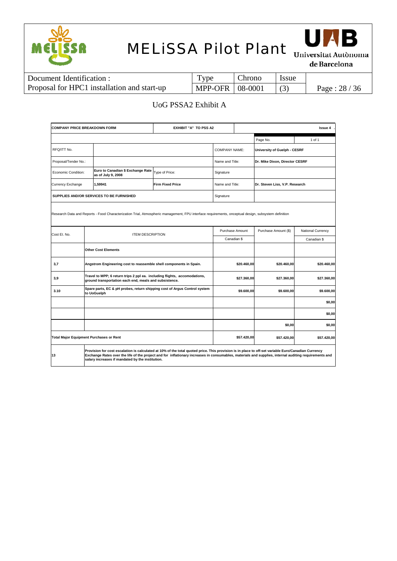



de Barcelona

| Document Identification :                   | Type                     | Chrono | <i>ssue</i> |               |
|---------------------------------------------|--------------------------|--------|-------------|---------------|
| Proposal for HPC1 installation and start-up | <b>MPP-OFR   08-0001</b> |        |             | Page: $28/36$ |

### UoG PSSA2 Exhibit A

| <b>COMPANY PRICE BREAKDOWN FORM</b> |                                                                                                                                                                                                                                                                                                                                                                  | EXHIBIT "A" TO PSS A2   |                      | <b>Issue 4</b>  |                                |                   |  |  |  |  |  |
|-------------------------------------|------------------------------------------------------------------------------------------------------------------------------------------------------------------------------------------------------------------------------------------------------------------------------------------------------------------------------------------------------------------|-------------------------|----------------------|-----------------|--------------------------------|-------------------|--|--|--|--|--|
|                                     |                                                                                                                                                                                                                                                                                                                                                                  |                         |                      |                 | Page No.                       | 1 of 1            |  |  |  |  |  |
| RFQ/ITT No.                         |                                                                                                                                                                                                                                                                                                                                                                  |                         | <b>COMPANY NAME:</b> |                 | University of Guelph - CESRF   |                   |  |  |  |  |  |
| Proposal/Tender No.:                |                                                                                                                                                                                                                                                                                                                                                                  |                         | Name and Title:      |                 | Dr. Mike Dixon, Director CESRF |                   |  |  |  |  |  |
| Economic Condition:                 | Euro to Canadian \$ Exchange Rate<br>as of July 9, 2008                                                                                                                                                                                                                                                                                                          | Type of Price:          | Signature            |                 |                                |                   |  |  |  |  |  |
| Currency Exchange                   | 1,59941                                                                                                                                                                                                                                                                                                                                                          | <b>Firm Fixed Price</b> | Name and Title:      |                 | Dr. Steven Liss, V.P. Research |                   |  |  |  |  |  |
|                                     | SUPPLIES AND/OR SERVICES TO BE FURNISHED                                                                                                                                                                                                                                                                                                                         |                         | Signature            |                 |                                |                   |  |  |  |  |  |
|                                     | Research Data and Reports - Food Characterization Trial, Atmospheric management, FPU interface requirements, onceptual design, subsystem definition                                                                                                                                                                                                              |                         |                      |                 |                                |                   |  |  |  |  |  |
| Cost El. No.                        | <b>ITEM DESCRIPTION</b>                                                                                                                                                                                                                                                                                                                                          |                         |                      | Purchase Amount | Purchase Amount (\$)           | National Currency |  |  |  |  |  |
|                                     |                                                                                                                                                                                                                                                                                                                                                                  |                         |                      | Canadian \$     |                                | Canadian \$       |  |  |  |  |  |
|                                     | <b>Other Cost Elements</b>                                                                                                                                                                                                                                                                                                                                       |                         |                      |                 |                                |                   |  |  |  |  |  |
| 3,7                                 | Angstrom Engineering cost to reassemble shell components in Spain.                                                                                                                                                                                                                                                                                               |                         |                      | \$20.460,00     | \$20.460,00                    | \$20.460,00       |  |  |  |  |  |
| 3,9                                 | Travel to MPP; 6 return trips 2 ppl ea. including flights, accomodations,<br>ground transportation each end, meals and subsistence.                                                                                                                                                                                                                              |                         |                      | \$27.360,00     | \$27.360,00                    | \$27.360,00       |  |  |  |  |  |
| 3.10                                | Spare parts, EC & pH probes, return shipping cost of Argus Control system<br>to UoGuelph                                                                                                                                                                                                                                                                         |                         |                      | \$9.600,00      | \$9.600,00                     | \$9.600,00        |  |  |  |  |  |
|                                     |                                                                                                                                                                                                                                                                                                                                                                  |                         |                      |                 |                                | \$0,00            |  |  |  |  |  |
|                                     |                                                                                                                                                                                                                                                                                                                                                                  |                         |                      |                 |                                | \$0,00            |  |  |  |  |  |
|                                     |                                                                                                                                                                                                                                                                                                                                                                  |                         |                      |                 | \$0,00                         | \$0,00            |  |  |  |  |  |
|                                     | <b>Total Major Equipment Purchases or Rent</b>                                                                                                                                                                                                                                                                                                                   |                         |                      | \$57.420,00     | \$57.420,00                    | \$57.420,00       |  |  |  |  |  |
| 13                                  | Provision for cost escalation is calculated at 10% of the total quoted price. This provision is in place to off-set variable Euro/Canadian Currency<br>Exchange Rates over the life of the project and for inflationary increases in consumables, materials and supplies, internal auditing requirements and<br>salary increases if mandated by the institution. |                         |                      |                 |                                |                   |  |  |  |  |  |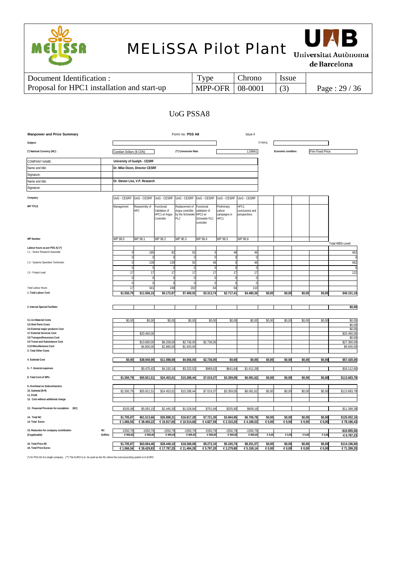



de Barcelona

| Document Identification :                   | 1 ype                    | Chrono | <i>Issue</i> |               |
|---------------------------------------------|--------------------------|--------|--------------|---------------|
| Proposal for HPC1 installation and start-up | <b>MPP-OFR   08-0001</b> |        |              | Page: $29/36$ |

### UoG PSSA8

| <b>Manpower and Price Summary</b>                                 |                           |                          |                                |                                                            | Form no. PSS A8                                               |                                                                       |                                                | Issue 4                                 |                  |                     |                  |                         |                             |
|-------------------------------------------------------------------|---------------------------|--------------------------|--------------------------------|------------------------------------------------------------|---------------------------------------------------------------|-----------------------------------------------------------------------|------------------------------------------------|-----------------------------------------|------------------|---------------------|------------------|-------------------------|-----------------------------|
| Subject:                                                          |                           |                          |                                |                                                            |                                                               |                                                                       |                                                |                                         | ITT/RFQ:         |                     |                  |                         |                             |
| (*) National Currency (NC) :                                      |                           | Candian Dollars (\$ CDN) |                                |                                                            | ("") Conversion Rate:                                         |                                                                       |                                                | 1.59941                                 |                  | Economic condition: |                  | <b>Firm Fixed Price</b> |                             |
| COMPANY NAME:                                                     |                           |                          | University of Guelph - CESRF   |                                                            |                                                               |                                                                       |                                                |                                         |                  |                     |                  |                         |                             |
| Name and title:                                                   |                           |                          | Dr. Mike Dixon, Director CESRF |                                                            |                                                               |                                                                       |                                                |                                         |                  |                     |                  |                         |                             |
| Signature:                                                        |                           |                          |                                |                                                            |                                                               |                                                                       |                                                |                                         |                  |                     |                  |                         |                             |
| Name and title:                                                   |                           |                          | Dr. Steven Liss, V.P. Research |                                                            |                                                               |                                                                       |                                                |                                         |                  |                     |                  |                         |                             |
| Signature:                                                        |                           |                          |                                |                                                            |                                                               |                                                                       |                                                |                                         |                  |                     |                  |                         |                             |
|                                                                   |                           |                          |                                |                                                            |                                                               |                                                                       |                                                |                                         |                  |                     |                  |                         |                             |
| Company                                                           |                           |                          | UoG - CESRF UoG - CESRF        | UoG - CESRF UoG - CESRF                                    |                                                               | UoG - CESRF                                                           | UoG - CESRF                                    | UoG - CESRF                             |                  |                     |                  |                         |                             |
| <b>WP TITLE</b>                                                   |                           | Management               | Reassembly of<br>HPC           | Functional<br>Validation of<br>HPC1 w/ Argus<br>Controller | Replacement of<br>Argus controller<br>by the Schneider<br>PLC | Functional<br>validation of<br>HPC2 w/<br>Schneider PLC<br>controller | Preliminary<br>culture<br>campaigns in<br>HPC1 | HPC1<br>conclusions and<br>perspectives |                  |                     |                  |                         |                             |
| <b>WP Number</b>                                                  |                           | WP 96.0                  | WP 96.1                        | WP 96.2                                                    | WP 96.3                                                       | WP 96.4                                                               | WP 96.5                                        | WP 96.6                                 |                  |                     |                  |                         | Total WBS-Level             |
| Labour hours as per PSS A2 (*)                                    |                           |                          |                                |                                                            |                                                               |                                                                       |                                                |                                         |                  |                     |                  |                         |                             |
| 1.1 - Senior Research Associate                                   |                           |                          | 185                            | $Q^{\prime}$                                               | 92                                                            |                                                                       | 4 <sub>t</sub>                                 | 46                                      |                  |                     |                  |                         | 462                         |
| 1.3 - Systems Operation Technician                                |                           |                          | 139                            | 139                                                        | 92                                                            | 46                                                                    |                                                | 46                                      |                  |                     |                  |                         | 462                         |
|                                                                   |                           |                          |                                |                                                            |                                                               | $\Omega$                                                              |                                                |                                         |                  |                     |                  |                         |                             |
| 1.5 - Project Lead                                                |                           | 11                       | 17                             | 17                                                         | 17                                                            | 17                                                                    |                                                | 17                                      |                  |                     |                  |                         | 122                         |
|                                                                   |                           |                          |                                |                                                            |                                                               |                                                                       |                                                |                                         |                  |                     |                  |                         |                             |
| <b>Total Labour Hours</b>                                         |                           | 1                        | 341                            | 248                                                        | 202                                                           | $\Omega$<br>64                                                        |                                                | 110                                     |                  |                     |                  |                         |                             |
| 1. Total Labour Cost                                              |                           | \$1,550.79               | \$11.506,1                     | \$9,172.8                                                  | \$7.409,92                                                    | \$3.313,74                                                            | 64<br>\$2.717,4                                | \$4.480,36                              | \$0,00           | \$0,00              | \$0,00           | \$0,00                  | \$40.151,19                 |
|                                                                   |                           |                          |                                |                                                            |                                                               |                                                                       |                                                |                                         |                  |                     |                  |                         |                             |
|                                                                   |                           |                          |                                |                                                            |                                                               |                                                                       |                                                |                                         |                  |                     |                  |                         |                             |
| 2. Internal Special Facilities                                    |                           |                          |                                |                                                            |                                                               |                                                                       |                                                |                                         |                  |                     |                  |                         | \$0,00                      |
|                                                                   |                           |                          |                                |                                                            |                                                               |                                                                       |                                                |                                         |                  |                     |                  |                         |                             |
| 3.1-3.4 Material Costs<br>3.5 Hirel Parts Costs                   |                           | \$0,00                   | \$0,0                          | \$0,00                                                     | \$0,00                                                        | \$0,00                                                                | \$0,00                                         | \$0,00                                  | \$0,00           | \$0,00              | \$0,00           | \$0,00                  | \$0,00<br>\$0,00            |
| 3.6 External major products Cost                                  |                           |                          |                                |                                                            |                                                               |                                                                       |                                                |                                         |                  |                     |                  |                         | \$0,00                      |
| 3.7 External Services Cost                                        |                           |                          | \$20.460,0                     |                                                            |                                                               |                                                                       |                                                |                                         |                  |                     |                  |                         | \$20.460,00                 |
| 3.8 Transport/Insurance Cost<br>3.9 Travel and Subsistance Cost   |                           |                          | \$13.680,0                     | \$8.208,0                                                  | \$2.736,00                                                    | \$2.736,00                                                            |                                                |                                         |                  |                     |                  |                         | \$0,00<br>\$27.360,00       |
| 3.10 Miscellaneous Cost                                           |                           |                          | \$4.800,0                      | \$2.880,00                                                 | \$1.920,00                                                    |                                                                       |                                                |                                         |                  |                     |                  |                         | \$9.600,00                  |
| 3. Total Other Costs                                              |                           |                          |                                |                                                            |                                                               |                                                                       |                                                |                                         |                  |                     |                  |                         |                             |
| 4. Subtotal Cost                                                  |                           | \$0,00                   | \$38.940,00                    | \$11.088,00                                                | \$4.656,00                                                    | \$2.736,00                                                            | \$0,00                                         | \$0,00                                  | \$0,00           | \$0,00              | \$0,00           | \$0,00                  | \$57.420,00                 |
| 5.- 7. General expenses                                           |                           |                          | \$5.475,42                     | \$4.192,14                                                 | \$3.222,52                                                    | \$969,62                                                              | \$641,64                                       | \$1.611,26                              |                  |                     |                  |                         | \$16.112,60                 |
| 8. Total Cost of WPs                                              |                           | \$1,550.79               | \$55.921,51                    | \$24.453,01                                                | \$15.288,44                                                   | \$7.019,37                                                            | \$3.359,05                                     | \$6.091,62                              | \$0.00           | \$0.00              | \$0.00           | \$0.00                  | \$113.683,78                |
| 9. Overhead on Subcontractors<br>10. Subtotal (8+9)<br>11. Profit |                           | \$1.550,7                | \$55.921,5                     | \$24.453,0                                                 | \$15.288,4                                                    | \$7.019,3                                                             | \$3.359,0                                      | \$6.091,6                               | \$0,0            | \$0,00              | \$0,0            | \$0,00                  | \$113.683,78                |
| 12. Cost without additional charge                                |                           |                          |                                |                                                            |                                                               |                                                                       |                                                |                                         |                  |                     |                  |                         |                             |
| 13. Financial Provision for escalation (NC)                       |                           | \$155,08                 | \$5.592,15                     | \$2.445,30                                                 | \$1.528,84                                                    | \$701,94                                                              | \$335,90                                       | \$609,16                                |                  |                     |                  |                         | \$11.368,38                 |
| 14. Total NC                                                      |                           | \$1,705.8                | \$61.513,66                    | \$26.898,31                                                | \$16.817,28                                                   | \$7.721.30                                                            | \$3.694,9                                      | \$6,700.78                              | \$0.00           | \$0.00              | \$0.00           | \$0.00                  | \$125.052,16                |
| 14. Total Euros                                                   |                           | € 1.066,56               | € 38.460,22                    | € 16.817,65                                                | € 10.514,68                                                   | € 4.827,59                                                            | € 2.310,20                                     | €4.189,5                                | € 0,00           | € 0,00              | € 0,00           | € 0,00                  | € 78.186,43                 |
| 15. Reduction for company contribution<br>(if applicable)         | <b>NC</b><br><b>EUROs</b> | $-1550.7$<br>$-6969,61$  | $-1550,79$<br>$-6969,60$       | -1550,79<br>$-6969,60$                                     | $-1550,79$<br>$-6969,60$                                      | $-1550,79$<br>$-6969,60$                                              | $-1550,79$<br>$-6969,6$                        | $-1550,79$<br>$-6969,60$                | 60,00            | 60,00               | 60,00            | 60,00                   | \$10.855,56<br>$-6.787,23$  |
| 16. Total Price NC<br>16. Total Price Euros                       |                           | \$1.705,87<br>€ 1.066,56 | \$63.064,46<br>€ 39.429,83     | \$28.449,10<br>€ 17.787,25                                 | \$18.368,08<br>€ 11.484,28                                    | \$9.272,10<br>€ 5.797,20                                              | \$5.245,74<br>€ 3.279,80                       | \$8.251,57<br>€ 5.159,14                | \$0,00<br>€ 0,00 | \$0,00<br>€ 0,00    | \$0,00<br>€ 0,00 | \$0,00<br>€ 0,00        | \$114.196,60<br>€ 71.399,20 |
|                                                                   |                           |                          |                                |                                                            |                                                               |                                                                       |                                                |                                         |                  |                     |                  |                         |                             |

(\*) for PSS A8 of a single company. (\*\*) The EURO is to be used as the NC where the cost accounting system is in EURO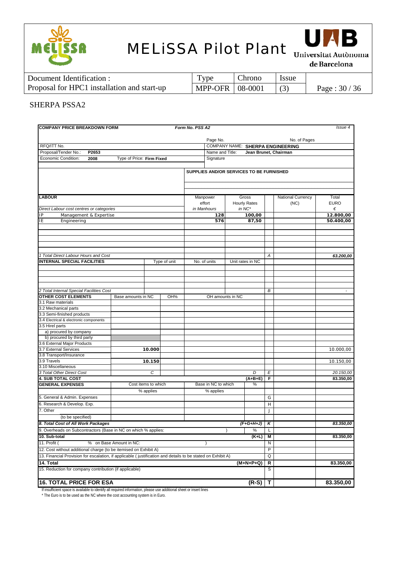



de Barcelona

| Document Identification :                   | <b>vpe</b>        | . hrono | <i>ssue</i> |               |
|---------------------------------------------|-------------------|---------|-------------|---------------|
| Proposal for HPC1 installation and start-up | MPP-OFR   08-0001 |         |             | Page: $30/36$ |

#### SHERPA PSSA2

| No. of Pages<br>Page No.<br>RFQ/ITT No.<br>COMPANY NAME: SHERPA ENGINEERING<br>Proposal/Tender No.:<br>P2653<br>Name and Title:<br>Jean Brunet, Chairman<br>Economic Condition:<br>Signature<br>2008<br>Type of Price: Firm Fixed<br>SUPPLIES AND/OR SERVICES TO BE FURNISHED<br><b>LABOUR</b><br>National Currency<br>Manpower<br>Gross<br>Total<br>effort<br><b>EURO</b><br><b>Hourly Rates</b><br>(NC)<br>Direct Labour cost centres or categories<br>in NC*<br>in Manhours<br>€<br>Management & Expertise<br>100,00<br>12.800,00<br>IP<br>128<br>ΙE<br>Engineering<br>576<br>50.400,00<br>87,50<br>$\overline{A}$<br><b>INTERNAL SPECIAL FACILITIES</b><br>Type of unit<br>No. of units<br>Unit rates in NC<br>2 Total Internal Special Facilities Cost<br>В<br><b>OTHER COST ELEMENTS</b><br>OH amounts in NC<br>Base amounts in NC<br>OH%<br>3.1 Raw materials<br>3.2 Mechanical parts<br>3.3 Semi-finished products<br>3.4 Electrical & electronic components<br>3.5 Hirel parts<br>a) procured by company<br>b) procured by third party<br>3.6 External Major Products<br>3.7 External Services<br>10.000<br>10.000,00<br>3.8 Transport/Insurance<br>3.9 Travels<br>10.150<br>10.150,00<br>3.10 Miscellaneous<br>C<br>3 Total Other Direct Cost<br>D<br>E<br>20.150,00<br><b>4. SUB TOTAL COST</b><br>F<br>83.350,00<br>$(A+B+E)$<br>Base in NC to which<br>Cost items to which<br><b>GENERAL EXPENSES</b><br>%<br>% applies<br>% applies<br>5. General & Admin. Expenses<br>G<br>6. Research & Develop. Exp.<br>H<br>7. Other<br>$\mathsf{J}$<br>(to be specified)<br>8. Total Cost of All Work Packages<br>$(F+G+H+J)$<br>83.350,00<br>Κ<br>9. Overheads on Subcontractors (Base in NC on which % applies:<br>%<br>L<br>10. Sub-total<br>$(K+L)$<br>83.350,00<br>М<br>11. Profit (<br>% on Base Amount in NC:<br>N<br>P<br>12. Cost without additional charge (to be itemised on Exhibit A)<br>13. Financial Provision for escalation, if applicable ( justification and details to be stated on Exhibit A)<br>Q<br>$(M+N+P+Q)$<br>R<br>83.350,00<br>14. Total<br>15. Reduction for company contribution (if applicable)<br>S<br><b>16. TOTAL PRICE FOR ESA</b><br>$(R-S)$<br>т | <b>COMPANY PRICE BREAKDOWN FORM</b>  |  | Form No. PSS A2 |  |  | Issue 4   |
|-------------------------------------------------------------------------------------------------------------------------------------------------------------------------------------------------------------------------------------------------------------------------------------------------------------------------------------------------------------------------------------------------------------------------------------------------------------------------------------------------------------------------------------------------------------------------------------------------------------------------------------------------------------------------------------------------------------------------------------------------------------------------------------------------------------------------------------------------------------------------------------------------------------------------------------------------------------------------------------------------------------------------------------------------------------------------------------------------------------------------------------------------------------------------------------------------------------------------------------------------------------------------------------------------------------------------------------------------------------------------------------------------------------------------------------------------------------------------------------------------------------------------------------------------------------------------------------------------------------------------------------------------------------------------------------------------------------------------------------------------------------------------------------------------------------------------------------------------------------------------------------------------------------------------------------------------------------------------------------------------------------------------------------------------------------------------------------------------------------------------------------------------------------------------------------------|--------------------------------------|--|-----------------|--|--|-----------|
|                                                                                                                                                                                                                                                                                                                                                                                                                                                                                                                                                                                                                                                                                                                                                                                                                                                                                                                                                                                                                                                                                                                                                                                                                                                                                                                                                                                                                                                                                                                                                                                                                                                                                                                                                                                                                                                                                                                                                                                                                                                                                                                                                                                           |                                      |  |                 |  |  |           |
|                                                                                                                                                                                                                                                                                                                                                                                                                                                                                                                                                                                                                                                                                                                                                                                                                                                                                                                                                                                                                                                                                                                                                                                                                                                                                                                                                                                                                                                                                                                                                                                                                                                                                                                                                                                                                                                                                                                                                                                                                                                                                                                                                                                           |                                      |  |                 |  |  |           |
|                                                                                                                                                                                                                                                                                                                                                                                                                                                                                                                                                                                                                                                                                                                                                                                                                                                                                                                                                                                                                                                                                                                                                                                                                                                                                                                                                                                                                                                                                                                                                                                                                                                                                                                                                                                                                                                                                                                                                                                                                                                                                                                                                                                           |                                      |  |                 |  |  |           |
|                                                                                                                                                                                                                                                                                                                                                                                                                                                                                                                                                                                                                                                                                                                                                                                                                                                                                                                                                                                                                                                                                                                                                                                                                                                                                                                                                                                                                                                                                                                                                                                                                                                                                                                                                                                                                                                                                                                                                                                                                                                                                                                                                                                           |                                      |  |                 |  |  |           |
|                                                                                                                                                                                                                                                                                                                                                                                                                                                                                                                                                                                                                                                                                                                                                                                                                                                                                                                                                                                                                                                                                                                                                                                                                                                                                                                                                                                                                                                                                                                                                                                                                                                                                                                                                                                                                                                                                                                                                                                                                                                                                                                                                                                           |                                      |  |                 |  |  |           |
|                                                                                                                                                                                                                                                                                                                                                                                                                                                                                                                                                                                                                                                                                                                                                                                                                                                                                                                                                                                                                                                                                                                                                                                                                                                                                                                                                                                                                                                                                                                                                                                                                                                                                                                                                                                                                                                                                                                                                                                                                                                                                                                                                                                           |                                      |  |                 |  |  |           |
|                                                                                                                                                                                                                                                                                                                                                                                                                                                                                                                                                                                                                                                                                                                                                                                                                                                                                                                                                                                                                                                                                                                                                                                                                                                                                                                                                                                                                                                                                                                                                                                                                                                                                                                                                                                                                                                                                                                                                                                                                                                                                                                                                                                           |                                      |  |                 |  |  |           |
|                                                                                                                                                                                                                                                                                                                                                                                                                                                                                                                                                                                                                                                                                                                                                                                                                                                                                                                                                                                                                                                                                                                                                                                                                                                                                                                                                                                                                                                                                                                                                                                                                                                                                                                                                                                                                                                                                                                                                                                                                                                                                                                                                                                           |                                      |  |                 |  |  |           |
|                                                                                                                                                                                                                                                                                                                                                                                                                                                                                                                                                                                                                                                                                                                                                                                                                                                                                                                                                                                                                                                                                                                                                                                                                                                                                                                                                                                                                                                                                                                                                                                                                                                                                                                                                                                                                                                                                                                                                                                                                                                                                                                                                                                           |                                      |  |                 |  |  |           |
|                                                                                                                                                                                                                                                                                                                                                                                                                                                                                                                                                                                                                                                                                                                                                                                                                                                                                                                                                                                                                                                                                                                                                                                                                                                                                                                                                                                                                                                                                                                                                                                                                                                                                                                                                                                                                                                                                                                                                                                                                                                                                                                                                                                           |                                      |  |                 |  |  |           |
|                                                                                                                                                                                                                                                                                                                                                                                                                                                                                                                                                                                                                                                                                                                                                                                                                                                                                                                                                                                                                                                                                                                                                                                                                                                                                                                                                                                                                                                                                                                                                                                                                                                                                                                                                                                                                                                                                                                                                                                                                                                                                                                                                                                           |                                      |  |                 |  |  |           |
|                                                                                                                                                                                                                                                                                                                                                                                                                                                                                                                                                                                                                                                                                                                                                                                                                                                                                                                                                                                                                                                                                                                                                                                                                                                                                                                                                                                                                                                                                                                                                                                                                                                                                                                                                                                                                                                                                                                                                                                                                                                                                                                                                                                           |                                      |  |                 |  |  |           |
|                                                                                                                                                                                                                                                                                                                                                                                                                                                                                                                                                                                                                                                                                                                                                                                                                                                                                                                                                                                                                                                                                                                                                                                                                                                                                                                                                                                                                                                                                                                                                                                                                                                                                                                                                                                                                                                                                                                                                                                                                                                                                                                                                                                           |                                      |  |                 |  |  |           |
|                                                                                                                                                                                                                                                                                                                                                                                                                                                                                                                                                                                                                                                                                                                                                                                                                                                                                                                                                                                                                                                                                                                                                                                                                                                                                                                                                                                                                                                                                                                                                                                                                                                                                                                                                                                                                                                                                                                                                                                                                                                                                                                                                                                           |                                      |  |                 |  |  |           |
|                                                                                                                                                                                                                                                                                                                                                                                                                                                                                                                                                                                                                                                                                                                                                                                                                                                                                                                                                                                                                                                                                                                                                                                                                                                                                                                                                                                                                                                                                                                                                                                                                                                                                                                                                                                                                                                                                                                                                                                                                                                                                                                                                                                           |                                      |  |                 |  |  |           |
|                                                                                                                                                                                                                                                                                                                                                                                                                                                                                                                                                                                                                                                                                                                                                                                                                                                                                                                                                                                                                                                                                                                                                                                                                                                                                                                                                                                                                                                                                                                                                                                                                                                                                                                                                                                                                                                                                                                                                                                                                                                                                                                                                                                           |                                      |  |                 |  |  |           |
|                                                                                                                                                                                                                                                                                                                                                                                                                                                                                                                                                                                                                                                                                                                                                                                                                                                                                                                                                                                                                                                                                                                                                                                                                                                                                                                                                                                                                                                                                                                                                                                                                                                                                                                                                                                                                                                                                                                                                                                                                                                                                                                                                                                           |                                      |  |                 |  |  |           |
|                                                                                                                                                                                                                                                                                                                                                                                                                                                                                                                                                                                                                                                                                                                                                                                                                                                                                                                                                                                                                                                                                                                                                                                                                                                                                                                                                                                                                                                                                                                                                                                                                                                                                                                                                                                                                                                                                                                                                                                                                                                                                                                                                                                           | 1 Total Direct Labour Hours and Cost |  |                 |  |  | 63.200,00 |
|                                                                                                                                                                                                                                                                                                                                                                                                                                                                                                                                                                                                                                                                                                                                                                                                                                                                                                                                                                                                                                                                                                                                                                                                                                                                                                                                                                                                                                                                                                                                                                                                                                                                                                                                                                                                                                                                                                                                                                                                                                                                                                                                                                                           |                                      |  |                 |  |  |           |
|                                                                                                                                                                                                                                                                                                                                                                                                                                                                                                                                                                                                                                                                                                                                                                                                                                                                                                                                                                                                                                                                                                                                                                                                                                                                                                                                                                                                                                                                                                                                                                                                                                                                                                                                                                                                                                                                                                                                                                                                                                                                                                                                                                                           |                                      |  |                 |  |  |           |
|                                                                                                                                                                                                                                                                                                                                                                                                                                                                                                                                                                                                                                                                                                                                                                                                                                                                                                                                                                                                                                                                                                                                                                                                                                                                                                                                                                                                                                                                                                                                                                                                                                                                                                                                                                                                                                                                                                                                                                                                                                                                                                                                                                                           |                                      |  |                 |  |  |           |
|                                                                                                                                                                                                                                                                                                                                                                                                                                                                                                                                                                                                                                                                                                                                                                                                                                                                                                                                                                                                                                                                                                                                                                                                                                                                                                                                                                                                                                                                                                                                                                                                                                                                                                                                                                                                                                                                                                                                                                                                                                                                                                                                                                                           |                                      |  |                 |  |  |           |
|                                                                                                                                                                                                                                                                                                                                                                                                                                                                                                                                                                                                                                                                                                                                                                                                                                                                                                                                                                                                                                                                                                                                                                                                                                                                                                                                                                                                                                                                                                                                                                                                                                                                                                                                                                                                                                                                                                                                                                                                                                                                                                                                                                                           |                                      |  |                 |  |  |           |
|                                                                                                                                                                                                                                                                                                                                                                                                                                                                                                                                                                                                                                                                                                                                                                                                                                                                                                                                                                                                                                                                                                                                                                                                                                                                                                                                                                                                                                                                                                                                                                                                                                                                                                                                                                                                                                                                                                                                                                                                                                                                                                                                                                                           |                                      |  |                 |  |  |           |
|                                                                                                                                                                                                                                                                                                                                                                                                                                                                                                                                                                                                                                                                                                                                                                                                                                                                                                                                                                                                                                                                                                                                                                                                                                                                                                                                                                                                                                                                                                                                                                                                                                                                                                                                                                                                                                                                                                                                                                                                                                                                                                                                                                                           |                                      |  |                 |  |  |           |
|                                                                                                                                                                                                                                                                                                                                                                                                                                                                                                                                                                                                                                                                                                                                                                                                                                                                                                                                                                                                                                                                                                                                                                                                                                                                                                                                                                                                                                                                                                                                                                                                                                                                                                                                                                                                                                                                                                                                                                                                                                                                                                                                                                                           |                                      |  |                 |  |  |           |
|                                                                                                                                                                                                                                                                                                                                                                                                                                                                                                                                                                                                                                                                                                                                                                                                                                                                                                                                                                                                                                                                                                                                                                                                                                                                                                                                                                                                                                                                                                                                                                                                                                                                                                                                                                                                                                                                                                                                                                                                                                                                                                                                                                                           |                                      |  |                 |  |  |           |
|                                                                                                                                                                                                                                                                                                                                                                                                                                                                                                                                                                                                                                                                                                                                                                                                                                                                                                                                                                                                                                                                                                                                                                                                                                                                                                                                                                                                                                                                                                                                                                                                                                                                                                                                                                                                                                                                                                                                                                                                                                                                                                                                                                                           |                                      |  |                 |  |  |           |
|                                                                                                                                                                                                                                                                                                                                                                                                                                                                                                                                                                                                                                                                                                                                                                                                                                                                                                                                                                                                                                                                                                                                                                                                                                                                                                                                                                                                                                                                                                                                                                                                                                                                                                                                                                                                                                                                                                                                                                                                                                                                                                                                                                                           |                                      |  |                 |  |  |           |
|                                                                                                                                                                                                                                                                                                                                                                                                                                                                                                                                                                                                                                                                                                                                                                                                                                                                                                                                                                                                                                                                                                                                                                                                                                                                                                                                                                                                                                                                                                                                                                                                                                                                                                                                                                                                                                                                                                                                                                                                                                                                                                                                                                                           |                                      |  |                 |  |  |           |
|                                                                                                                                                                                                                                                                                                                                                                                                                                                                                                                                                                                                                                                                                                                                                                                                                                                                                                                                                                                                                                                                                                                                                                                                                                                                                                                                                                                                                                                                                                                                                                                                                                                                                                                                                                                                                                                                                                                                                                                                                                                                                                                                                                                           |                                      |  |                 |  |  |           |
|                                                                                                                                                                                                                                                                                                                                                                                                                                                                                                                                                                                                                                                                                                                                                                                                                                                                                                                                                                                                                                                                                                                                                                                                                                                                                                                                                                                                                                                                                                                                                                                                                                                                                                                                                                                                                                                                                                                                                                                                                                                                                                                                                                                           |                                      |  |                 |  |  |           |
|                                                                                                                                                                                                                                                                                                                                                                                                                                                                                                                                                                                                                                                                                                                                                                                                                                                                                                                                                                                                                                                                                                                                                                                                                                                                                                                                                                                                                                                                                                                                                                                                                                                                                                                                                                                                                                                                                                                                                                                                                                                                                                                                                                                           |                                      |  |                 |  |  |           |
|                                                                                                                                                                                                                                                                                                                                                                                                                                                                                                                                                                                                                                                                                                                                                                                                                                                                                                                                                                                                                                                                                                                                                                                                                                                                                                                                                                                                                                                                                                                                                                                                                                                                                                                                                                                                                                                                                                                                                                                                                                                                                                                                                                                           |                                      |  |                 |  |  |           |
|                                                                                                                                                                                                                                                                                                                                                                                                                                                                                                                                                                                                                                                                                                                                                                                                                                                                                                                                                                                                                                                                                                                                                                                                                                                                                                                                                                                                                                                                                                                                                                                                                                                                                                                                                                                                                                                                                                                                                                                                                                                                                                                                                                                           |                                      |  |                 |  |  |           |
|                                                                                                                                                                                                                                                                                                                                                                                                                                                                                                                                                                                                                                                                                                                                                                                                                                                                                                                                                                                                                                                                                                                                                                                                                                                                                                                                                                                                                                                                                                                                                                                                                                                                                                                                                                                                                                                                                                                                                                                                                                                                                                                                                                                           |                                      |  |                 |  |  |           |
|                                                                                                                                                                                                                                                                                                                                                                                                                                                                                                                                                                                                                                                                                                                                                                                                                                                                                                                                                                                                                                                                                                                                                                                                                                                                                                                                                                                                                                                                                                                                                                                                                                                                                                                                                                                                                                                                                                                                                                                                                                                                                                                                                                                           |                                      |  |                 |  |  |           |
|                                                                                                                                                                                                                                                                                                                                                                                                                                                                                                                                                                                                                                                                                                                                                                                                                                                                                                                                                                                                                                                                                                                                                                                                                                                                                                                                                                                                                                                                                                                                                                                                                                                                                                                                                                                                                                                                                                                                                                                                                                                                                                                                                                                           |                                      |  |                 |  |  |           |
|                                                                                                                                                                                                                                                                                                                                                                                                                                                                                                                                                                                                                                                                                                                                                                                                                                                                                                                                                                                                                                                                                                                                                                                                                                                                                                                                                                                                                                                                                                                                                                                                                                                                                                                                                                                                                                                                                                                                                                                                                                                                                                                                                                                           |                                      |  |                 |  |  |           |
|                                                                                                                                                                                                                                                                                                                                                                                                                                                                                                                                                                                                                                                                                                                                                                                                                                                                                                                                                                                                                                                                                                                                                                                                                                                                                                                                                                                                                                                                                                                                                                                                                                                                                                                                                                                                                                                                                                                                                                                                                                                                                                                                                                                           |                                      |  |                 |  |  |           |
|                                                                                                                                                                                                                                                                                                                                                                                                                                                                                                                                                                                                                                                                                                                                                                                                                                                                                                                                                                                                                                                                                                                                                                                                                                                                                                                                                                                                                                                                                                                                                                                                                                                                                                                                                                                                                                                                                                                                                                                                                                                                                                                                                                                           |                                      |  |                 |  |  |           |
|                                                                                                                                                                                                                                                                                                                                                                                                                                                                                                                                                                                                                                                                                                                                                                                                                                                                                                                                                                                                                                                                                                                                                                                                                                                                                                                                                                                                                                                                                                                                                                                                                                                                                                                                                                                                                                                                                                                                                                                                                                                                                                                                                                                           |                                      |  |                 |  |  |           |
|                                                                                                                                                                                                                                                                                                                                                                                                                                                                                                                                                                                                                                                                                                                                                                                                                                                                                                                                                                                                                                                                                                                                                                                                                                                                                                                                                                                                                                                                                                                                                                                                                                                                                                                                                                                                                                                                                                                                                                                                                                                                                                                                                                                           |                                      |  |                 |  |  |           |
|                                                                                                                                                                                                                                                                                                                                                                                                                                                                                                                                                                                                                                                                                                                                                                                                                                                                                                                                                                                                                                                                                                                                                                                                                                                                                                                                                                                                                                                                                                                                                                                                                                                                                                                                                                                                                                                                                                                                                                                                                                                                                                                                                                                           |                                      |  |                 |  |  |           |
|                                                                                                                                                                                                                                                                                                                                                                                                                                                                                                                                                                                                                                                                                                                                                                                                                                                                                                                                                                                                                                                                                                                                                                                                                                                                                                                                                                                                                                                                                                                                                                                                                                                                                                                                                                                                                                                                                                                                                                                                                                                                                                                                                                                           |                                      |  |                 |  |  |           |
|                                                                                                                                                                                                                                                                                                                                                                                                                                                                                                                                                                                                                                                                                                                                                                                                                                                                                                                                                                                                                                                                                                                                                                                                                                                                                                                                                                                                                                                                                                                                                                                                                                                                                                                                                                                                                                                                                                                                                                                                                                                                                                                                                                                           |                                      |  |                 |  |  |           |
|                                                                                                                                                                                                                                                                                                                                                                                                                                                                                                                                                                                                                                                                                                                                                                                                                                                                                                                                                                                                                                                                                                                                                                                                                                                                                                                                                                                                                                                                                                                                                                                                                                                                                                                                                                                                                                                                                                                                                                                                                                                                                                                                                                                           |                                      |  |                 |  |  |           |
|                                                                                                                                                                                                                                                                                                                                                                                                                                                                                                                                                                                                                                                                                                                                                                                                                                                                                                                                                                                                                                                                                                                                                                                                                                                                                                                                                                                                                                                                                                                                                                                                                                                                                                                                                                                                                                                                                                                                                                                                                                                                                                                                                                                           |                                      |  |                 |  |  |           |
|                                                                                                                                                                                                                                                                                                                                                                                                                                                                                                                                                                                                                                                                                                                                                                                                                                                                                                                                                                                                                                                                                                                                                                                                                                                                                                                                                                                                                                                                                                                                                                                                                                                                                                                                                                                                                                                                                                                                                                                                                                                                                                                                                                                           |                                      |  |                 |  |  |           |
|                                                                                                                                                                                                                                                                                                                                                                                                                                                                                                                                                                                                                                                                                                                                                                                                                                                                                                                                                                                                                                                                                                                                                                                                                                                                                                                                                                                                                                                                                                                                                                                                                                                                                                                                                                                                                                                                                                                                                                                                                                                                                                                                                                                           |                                      |  |                 |  |  |           |
|                                                                                                                                                                                                                                                                                                                                                                                                                                                                                                                                                                                                                                                                                                                                                                                                                                                                                                                                                                                                                                                                                                                                                                                                                                                                                                                                                                                                                                                                                                                                                                                                                                                                                                                                                                                                                                                                                                                                                                                                                                                                                                                                                                                           |                                      |  |                 |  |  |           |
|                                                                                                                                                                                                                                                                                                                                                                                                                                                                                                                                                                                                                                                                                                                                                                                                                                                                                                                                                                                                                                                                                                                                                                                                                                                                                                                                                                                                                                                                                                                                                                                                                                                                                                                                                                                                                                                                                                                                                                                                                                                                                                                                                                                           |                                      |  |                 |  |  |           |
|                                                                                                                                                                                                                                                                                                                                                                                                                                                                                                                                                                                                                                                                                                                                                                                                                                                                                                                                                                                                                                                                                                                                                                                                                                                                                                                                                                                                                                                                                                                                                                                                                                                                                                                                                                                                                                                                                                                                                                                                                                                                                                                                                                                           |                                      |  |                 |  |  | 83.350,00 |

If insufficient space is available to identify all required information, please use additional sheet or insert lines

\* The Euro is to be used as the NC where the cost accounting system is in Euro.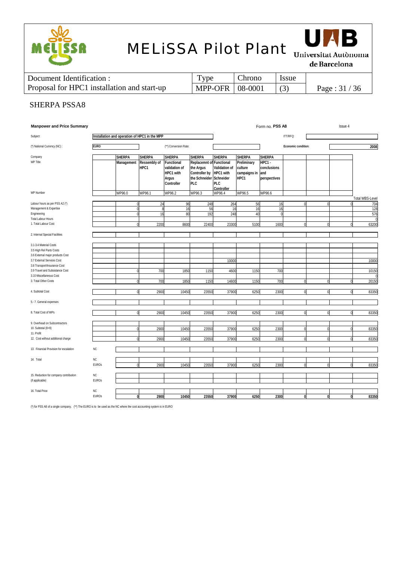



de Barcelona

| Document Identification :                   | l ype             | <b>Chrono</b> | <i>Issue</i> |               |
|---------------------------------------------|-------------------|---------------|--------------|---------------|
| Proposal for HPC1 installation and start-up | MPP-OFR   08-0001 |               |              | Page: $31/36$ |

### SHERPA PSSA8

| <b>Manpower and Price Summary</b>                          |              |                                               |                                       |                                              |                                                               | Form no. PSS A8<br>Issue 4     |                                         |                                       |                     |   |  |                        |  |  |  |  |
|------------------------------------------------------------|--------------|-----------------------------------------------|---------------------------------------|----------------------------------------------|---------------------------------------------------------------|--------------------------------|-----------------------------------------|---------------------------------------|---------------------|---|--|------------------------|--|--|--|--|
| Subject:                                                   |              | Installation and operation of HPC1 in the MPP |                                       |                                              |                                                               |                                |                                         |                                       | ITT/RFQ:            |   |  |                        |  |  |  |  |
| (*) National Currency (NC) :                               | <b>EURO</b>  |                                               |                                       | (**) Conversion Rate:                        |                                                               |                                |                                         |                                       | Economic condition: |   |  |                        |  |  |  |  |
| Company<br>WP Title                                        |              | <b>SHERPA</b><br>Management                   | <b>SHERPA</b><br>Ressembly of<br>HPC1 | <b>SHERPA</b><br>Functional<br>validation of | <b>SHERPA</b><br><b>Replacemnt of Functional</b><br>the Argus | <b>SHERPA</b><br>Validation of | <b>SHERPA</b><br>Preliminary<br>culture | <b>SHERPA</b><br>HPC1-<br>conclusions |                     |   |  |                        |  |  |  |  |
|                                                            |              |                                               |                                       | HPC1 with<br>Argus<br>Controller             | Controller by<br>the Schneider Schneider<br><b>PLC</b>        | HPC1 with<br>PLC<br>Controller | campaigns in and<br>HPC1                | perspectives                          |                     |   |  |                        |  |  |  |  |
| WP Number                                                  |              | WP96.0                                        | WP96.1                                | WP96.2                                       | WP96.3                                                        | WP96.4                         | WP96.5                                  | WP96.6                                |                     |   |  | <b>Total WBS-Level</b> |  |  |  |  |
| Labour hours as per PSS A2 (*)                             |              |                                               | 24                                    | 96                                           | 248                                                           | 264                            | 56                                      | 16                                    |                     |   |  | 704                    |  |  |  |  |
| Management & Expertise                                     |              |                                               | 8                                     | 16                                           | 56                                                            | 16                             | 16                                      | 16                                    |                     |   |  | 128                    |  |  |  |  |
| Engineering<br><b>Total Labour Hours</b>                   |              |                                               | 16                                    | 80                                           | 192                                                           | 248                            | 40                                      |                                       |                     |   |  | 576                    |  |  |  |  |
| 1. Total Labour Cost                                       |              |                                               | 2200                                  | 8600                                         | 22400                                                         | 23300                          | 5100                                    | 1600                                  |                     |   |  | 63200                  |  |  |  |  |
| 2. Internal Special Facilities                             |              |                                               |                                       |                                              |                                                               |                                |                                         |                                       |                     |   |  |                        |  |  |  |  |
| 3.1-3.4 Material Costs                                     |              |                                               |                                       |                                              |                                                               |                                |                                         |                                       |                     |   |  |                        |  |  |  |  |
| 3.5 High Rel Parts Costs                                   |              |                                               |                                       |                                              |                                                               |                                |                                         |                                       |                     |   |  |                        |  |  |  |  |
| 3.6 External major products Cost                           |              |                                               |                                       |                                              |                                                               |                                |                                         |                                       |                     |   |  |                        |  |  |  |  |
| 3.7 External Services Cost<br>3.8 Transport/Insurance Cost |              |                                               |                                       |                                              |                                                               | 10000                          |                                         |                                       |                     |   |  | 10000                  |  |  |  |  |
| 3.9 Travel and Subsistance Cost                            |              |                                               | 700                                   | 1850                                         | 1150                                                          | 4600                           | 1150                                    | 700                                   |                     |   |  | 10150                  |  |  |  |  |
| 3.10 Miscellaneous Cost                                    |              |                                               |                                       |                                              |                                                               |                                |                                         |                                       |                     |   |  |                        |  |  |  |  |
| 3. Total Other Costs                                       |              |                                               | 700                                   | 1850                                         | 1150                                                          | 14600                          | 1150                                    | 700                                   |                     |   |  | 20150                  |  |  |  |  |
| 4. Subtotal Cost                                           |              |                                               | 2900                                  | 10450                                        | 23550                                                         | 37900                          | 6250                                    | 2300                                  |                     |   |  | 83350                  |  |  |  |  |
| 5.- 7. General expenses                                    |              |                                               |                                       |                                              |                                                               |                                |                                         |                                       |                     |   |  |                        |  |  |  |  |
| 8. Total Cost of WPs                                       |              | $\Omega$                                      | 2900                                  | 10450                                        | 23550                                                         | 37900                          | 6250                                    | 2300                                  |                     | O |  | 83350                  |  |  |  |  |
| 9. Overhead on Subcontractors                              |              |                                               |                                       |                                              |                                                               |                                |                                         |                                       |                     |   |  |                        |  |  |  |  |
| 10. Subtotal $(8+9)$                                       |              |                                               | 2900                                  | 1045                                         | 23550                                                         | 37900                          | 6250                                    | 230                                   |                     |   |  | 83350                  |  |  |  |  |
| 11. Profit<br>12. Cost without additional charge           |              |                                               | 2900                                  | 10450                                        | 23550                                                         | 37900                          | 6250                                    | 2300                                  |                     |   |  | 83350                  |  |  |  |  |
| 13. Financial Provision for escalation                     | <b>NC</b>    |                                               |                                       |                                              |                                                               |                                |                                         |                                       |                     |   |  |                        |  |  |  |  |
| 14. Total                                                  | ΝC           |                                               |                                       |                                              |                                                               |                                |                                         |                                       |                     |   |  |                        |  |  |  |  |
|                                                            | <b>EUROs</b> |                                               | 2900                                  | 10450                                        | 23550                                                         | 37900                          | 6250                                    | 2300                                  |                     |   |  | 83350                  |  |  |  |  |
| 15. Reduction for company contribution                     | NC           |                                               |                                       |                                              |                                                               |                                |                                         |                                       |                     |   |  |                        |  |  |  |  |
| (if applicable)                                            | <b>EUROs</b> |                                               |                                       |                                              |                                                               |                                |                                         |                                       |                     |   |  |                        |  |  |  |  |
|                                                            |              |                                               |                                       |                                              |                                                               |                                |                                         |                                       |                     |   |  |                        |  |  |  |  |
| 16. Total Price                                            | NC           |                                               |                                       |                                              |                                                               |                                |                                         |                                       |                     |   |  |                        |  |  |  |  |
|                                                            | <b>EUROs</b> |                                               | 2900                                  | 10450                                        | 23550                                                         | 37900                          | 6250                                    | 2300                                  |                     |   |  | 83350                  |  |  |  |  |

(\*) for PSS A8 of a single company. (\*\*) The EURO is to be used as the NC where the cost accounting system is in EURO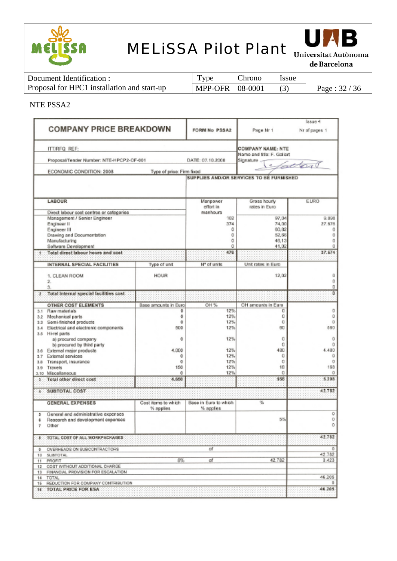



de Barcelona

| Document Identification :                   | Type                     | Chrono | <i>ssue</i> |               |
|---------------------------------------------|--------------------------|--------|-------------|---------------|
| Proposal for HPC1 installation and start-up | <b>MPP-OFR   08-0001</b> |        |             | Page: $32/36$ |

### NTE PSSA2

|           |                                                                                                                                   |                                                        |                                |                                                    | Issue 4                             |  |  |  |  |  |  |  |  |
|-----------|-----------------------------------------------------------------------------------------------------------------------------------|--------------------------------------------------------|--------------------------------|----------------------------------------------------|-------------------------------------|--|--|--|--|--|--|--|--|
|           | <b>COMPANY PRICE BREAKDOWN</b>                                                                                                    |                                                        | FORM No PSSA2                  | Page Nr 1                                          | Nr of pages 1                       |  |  |  |  |  |  |  |  |
|           | <b>ITTIRFQ REF:</b>                                                                                                               | <b>COMPANY NAME: NTE</b><br>Name and title: F. Gallart |                                |                                                    |                                     |  |  |  |  |  |  |  |  |
|           | Proposal/Tender Number: NTE-HPCP2-OF-001                                                                                          |                                                        | DATE: 07.10.2008               | Signature                                          |                                     |  |  |  |  |  |  |  |  |
|           | ECONOMIC CONDITION: 2008                                                                                                          | Type of price: Firm fixed                              |                                |                                                    | 1 factor                            |  |  |  |  |  |  |  |  |
|           |                                                                                                                                   |                                                        |                                | SUPPLIES AND/OR SERVICES TO BE FURNISHED           |                                     |  |  |  |  |  |  |  |  |
|           | LABOUR                                                                                                                            |                                                        | Manpower<br>effort in          | Gross hourly<br>rates in Euro                      | <b>EURO</b>                         |  |  |  |  |  |  |  |  |
|           | Direct labour cost centres or categories                                                                                          |                                                        | manhours                       |                                                    |                                     |  |  |  |  |  |  |  |  |
|           | Management / Senior Engineer<br>Engineer II<br>Engineer III<br>Drawing and Documentation<br>Manufacturing<br>Software Development |                                                        | 102<br>374<br>٥<br>Ō<br>Ö<br>Ō | 97.04<br>74.00<br>60,82<br>52,66<br>46.13<br>41.02 | 9.898<br>27.676<br>o<br>ö<br>O<br>ū |  |  |  |  |  |  |  |  |
|           | Total direct labour hours and cost                                                                                                |                                                        | 478                            |                                                    | 37,574                              |  |  |  |  |  |  |  |  |
|           | INTERNAL SPECIAL FACILITIES                                                                                                       | Type of unit                                           | Nº of units                    | Unit rates in Euro                                 |                                     |  |  |  |  |  |  |  |  |
|           | 1. CLEAN ROOM<br>2.<br>3.                                                                                                         | HOUR                                                   |                                | 12,02                                              | ũ<br>Ŭ<br>o                         |  |  |  |  |  |  |  |  |
| Q.        | Total internal special facilities cost                                                                                            |                                                        |                                |                                                    | Ū                                   |  |  |  |  |  |  |  |  |
|           | OTHER COST ELEMENTS                                                                                                               | Base amounts in Euro                                   | OH %                           | OH amounts in Euro                                 |                                     |  |  |  |  |  |  |  |  |
|           | 3.1 Raw materials                                                                                                                 | 0                                                      | 12%                            | o                                                  | 0                                   |  |  |  |  |  |  |  |  |
|           | 3.2 Mechanical parts<br>3.3 Semi-finished products                                                                                | 0<br>0                                                 | 12%<br>12%                     | o<br>a                                             | o<br>Ō                              |  |  |  |  |  |  |  |  |
| $3.4 -$   | Electrical and electronic components                                                                                              | 500                                                    | 12%                            | 60                                                 | 560                                 |  |  |  |  |  |  |  |  |
|           | 3.5 Hi-rel parts<br>a) procured company<br>b) procured by third party                                                             | Ö                                                      | 12%                            | 0<br>o                                             | Ō<br>0                              |  |  |  |  |  |  |  |  |
|           | 3.6 External major products                                                                                                       | 4.000                                                  | 12%                            | 480                                                | 4.480                               |  |  |  |  |  |  |  |  |
|           | 3.7 External services                                                                                                             | ۰                                                      | 12%                            | o                                                  | o                                   |  |  |  |  |  |  |  |  |
| $3.0 -$   | Transport, insurance                                                                                                              | 0                                                      | 12%                            | o                                                  | o                                   |  |  |  |  |  |  |  |  |
|           | 3.9 Travels<br>3.10 Miscellaneous                                                                                                 | 150<br>ŏ                                               | 12%<br>12%                     | 18<br>o                                            | 158<br>o                            |  |  |  |  |  |  |  |  |
| <b>33</b> | Total other direct cost                                                                                                           | 4.650                                                  |                                | 558                                                | 5.208                               |  |  |  |  |  |  |  |  |
| X.        | SUBTOTAL COST                                                                                                                     |                                                        |                                |                                                    | 42.782                              |  |  |  |  |  |  |  |  |
|           | <b>GENERAL EXPENSES</b>                                                                                                           | Cost items to which                                    | Base in Euro to which          | $\%$                                               |                                     |  |  |  |  |  |  |  |  |
| s.        | General and administrative expenses                                                                                               | % applies                                              | % applies                      |                                                    | o                                   |  |  |  |  |  |  |  |  |
| ٠         | Research and development expenses                                                                                                 |                                                        |                                | 5%                                                 | 0                                   |  |  |  |  |  |  |  |  |
| 7         | Other                                                                                                                             |                                                        |                                |                                                    | 0                                   |  |  |  |  |  |  |  |  |
|           | <b>I TOTAL COST OF ALL WORKPACKAGES</b>                                                                                           |                                                        |                                |                                                    | 42.782                              |  |  |  |  |  |  |  |  |
| ٠         | OVERHEADS ON SUBCONTRACTORS                                                                                                       |                                                        | αf                             |                                                    |                                     |  |  |  |  |  |  |  |  |
| 10        | SUBTOTAL                                                                                                                          |                                                        |                                |                                                    | 42.782                              |  |  |  |  |  |  |  |  |
|           | 11 PROFIT                                                                                                                         | 8%                                                     | αf                             | 42.782                                             | 3.423                               |  |  |  |  |  |  |  |  |
|           | 12 COST WITHOUT ADDITIONAL CHARGE<br>13 FINANCIAL PROVISION FOR ESCALATION                                                        |                                                        |                                |                                                    |                                     |  |  |  |  |  |  |  |  |
| 14.       | TOTAL                                                                                                                             |                                                        |                                |                                                    | 46.205                              |  |  |  |  |  |  |  |  |
|           | 15 REDUCTION FOR COMPANY CONTRIBUTION                                                                                             |                                                        |                                |                                                    | Ũ.                                  |  |  |  |  |  |  |  |  |
|           | 16 TOTAL PRICE FOR ESA                                                                                                            |                                                        |                                |                                                    | 46.205                              |  |  |  |  |  |  |  |  |
|           |                                                                                                                                   |                                                        |                                |                                                    |                                     |  |  |  |  |  |  |  |  |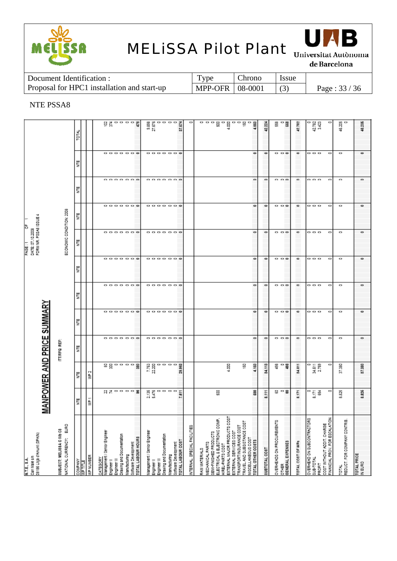



de Barcelona

| Document Identification :                   | 1 ype               | Chrono | <b>Issue</b> |               |
|---------------------------------------------|---------------------|--------|--------------|---------------|
| Proposal for HPC1 installation and start-up | $MPP-OFR$   08-0001 |        |              | Page: $33/36$ |

### NTE PSSA8

|                                                             |                                                               |               |                 |                  | ដូដូកកកម្ពុជ                                    |                            |                                  |                                      |                    |                                     |                            |                          |                   |                                           | o                           |              |                                           |                              |                                                |                        |                                                       |                                               |         |              |                                  | ្ល េ ្ល                       |                   |                                              |                 |                                                                    |                                    |                   |         |
|-------------------------------------------------------------|---------------------------------------------------------------|---------------|-----------------|------------------|-------------------------------------------------|----------------------------|----------------------------------|--------------------------------------|--------------------|-------------------------------------|----------------------------|--------------------------|-------------------|-------------------------------------------|-----------------------------|--------------|-------------------------------------------|------------------------------|------------------------------------------------|------------------------|-------------------------------------------------------|-----------------------------------------------|---------|--------------|----------------------------------|-------------------------------|-------------------|----------------------------------------------|-----------------|--------------------------------------------------------------------|------------------------------------|-------------------|---------|
|                                                             |                                                               | <b>LOTAL</b>  |                 |                  |                                                 |                            |                                  |                                      |                    | ននេះ<br>ភក្ខុ                       |                            |                          |                   | $rac{1}{2}$                               |                             |              |                                           | ㅁㅁㅁ몲ㅁ <u>ᇢ</u> ㅁㅁㅠㅠ          |                                                |                        |                                                       | 4,860                                         |         | 42.224       |                                  |                               | 42.782            |                                              | 42.782<br>3.423 |                                                                    | 46.ZOS<br>4                        |                   | 48.205  |
|                                                             |                                                               | Ë             |                 |                  |                                                 | <b>0000000</b>             |                                  |                                      |                    |                                     |                            |                          | 888888            |                                           |                             |              |                                           |                              |                                                |                        |                                                       |                                               | 0       | $\circ$      |                                  | .                             | $\circ$           | .                                            |                 | 0                                                                  | $\circ$                            |                   | $\circ$ |
|                                                             |                                                               | Ë             |                 |                  |                                                 | .                          |                                  |                                      |                    |                                     |                            |                          | .                 |                                           |                             |              |                                           |                              |                                                |                        |                                                       |                                               |         | ۰            |                                  | .                             | ۰                 | .                                            |                 | ۰                                                                  | ۰                                  |                   | ۰       |
|                                                             |                                                               | Ë             |                 |                  |                                                 |                            |                                  |                                      |                    |                                     |                            |                          | <b></b>           |                                           |                             |              |                                           |                              |                                                |                        |                                                       | ۰                                             |         | ۰            |                                  | .                             | $\circ$           | .                                            |                 | 0                                                                  | 0                                  |                   | $\circ$ |
| FORM NR. P38A8 ISSUE 4<br>DATE: 07.10.2008<br>PAGE          | ECONOMIC CONDITION: 2008                                      | Ë             |                 |                  |                                                 | .                          |                                  |                                      |                    |                                     |                            |                          | .                 |                                           |                             |              |                                           |                              |                                                |                        |                                                       |                                               |         | ۰            |                                  | .                             | ۰                 | .                                            |                 | ۰                                                                  | ۰                                  |                   |         |
|                                                             |                                                               | Ë             |                 |                  |                                                 | .                          |                                  |                                      |                    |                                     |                            |                          | .                 |                                           |                             |              |                                           |                              |                                                |                        |                                                       |                                               | $\circ$ | $\circ$      |                                  | .                             | $\circ$           | .                                            |                 | $\circ$                                                            | $\circ$                            |                   | $\circ$ |
|                                                             |                                                               | Ë             |                 |                  |                                                 | .                          |                                  |                                      |                    |                                     |                            |                          | .                 |                                           |                             |              |                                           |                              |                                                |                        |                                                       |                                               |         |              |                                  | .                             | ۰                 | .                                            |                 | $\circ$                                                            | ۰                                  |                   | ۰       |
| MANPOWER AND PRICE SUMMARY                                  |                                                               | Ë             |                 |                  |                                                 | .                          |                                  |                                      |                    |                                     |                            |                          | .                 |                                           |                             |              |                                           |                              |                                                |                        |                                                       | $\bullet$                                     |         | $\bullet$    |                                  | .                             | $\bullet$         | .                                            |                 | $\circ$                                                            | $\circ$                            |                   | $\circ$ |
|                                                             | ITTIRFQ REF                                                   | Ë             |                 |                  |                                                 | .                          |                                  |                                      |                    |                                     |                            |                          | .                 |                                           |                             |              |                                           |                              |                                                |                        |                                                       |                                               |         | ۰            |                                  | .                             | ۰                 | .                                            |                 | ۰                                                                  | ۰                                  |                   |         |
|                                                             |                                                               | Ë             |                 | 울                |                                                 |                            |                                  |                                      |                    | 7.763<br>22.200                     |                            |                          | .                 | 29.963                                    |                             |              |                                           |                              | ĝ                                              |                        | 똪                                                     |                                               | 4.160   | 34.113       |                                  | ដី - ដី                       | 34.811            | 미<br>포도<br>고기88                              |                 | o                                                                  | 37.30                              |                   | 37,380  |
|                                                             |                                                               | Ë             |                 | ₿                |                                                 | <b>CINO DO B</b>           |                                  |                                      |                    |                                     |                            |                          | ឌ្លួកក្នុង<br>កូច | $\overline{5}$                            |                             |              |                                           | 읂                            |                                                |                        |                                                       |                                               | នី      | 8.111        |                                  | <b>많으</b>                     | 8.171             | ី ក្ដី ទី                                    |                 | Ξ                                                                  | 3.82                               |                   | 8.826   |
| 18186 Lilça d'Amunt (SPAIN)<br>Can Male sin<br>N.T.E., 8.A. | <b>Sana</b><br>SUBJECT: MELISSA CIVIDCS<br>WITIONAL CURRENCY: | <b>VMPANY</b> | <b>NP TITLE</b> | <b>NP NUMBER</b> | <u>CATEGORY</u><br>Management / Benior Engineer | ngineer III<br>inglneer II | <b>Drawing and Documentation</b> | oftware Development<br>lanufacturing | TOTAL LABOUR HOURS | <b>Management / Senior Engineer</b> | inglneer III<br>ngineer li | rawing and Documentation | Manufacturing     | Boflaare Development<br>FOTAL LABOUR COST | NTERNAL, SPECIAL FACILITIES | WW MATERIALS | EMI-FINISHED PRODUCTS<br>JECHANICAL PARTS | LECTRICAL & ELECTRONIC COMP. | XTERNAL MAJOR PRODUCTS COST<br>IREL-PARTS COST | EXTERNAL SERVICES COST | RAVEL AND SUBSISTANCE COST<br>RANSPORT/INSURANCE COST | IIBCELLANEOUB COBT<br><b>OTAL OTHER COSTS</b> |         | ISOO TYLOBAL | <b>JVERHEADS ON PROCUREMENTS</b> | <b>DENERAL EXPENSES</b><br>留于 | TOTAL COST OF WPG | DVERHEAD ON SUBCONTRACTORS<br><b>IND-BUR</b> | TIEORI          | <b>INANCIAL PROV. FOR ESCALATION</b><br>COST WITHOUT ADDIT. CHARGE | REDUCT. FOR COMPANY CONTRIB.<br>Йã | <b>OTAL PRICE</b> | N EURO  |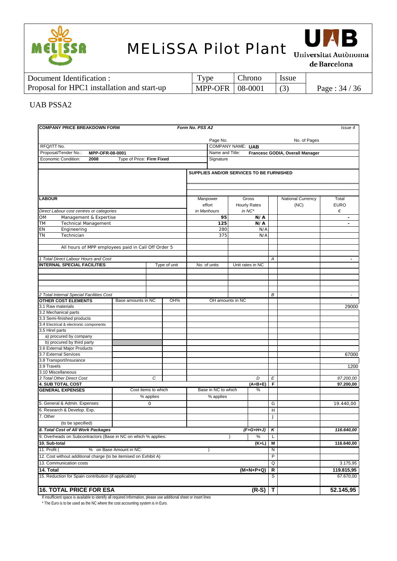



de Barcelona

| Document Identification :                   | $TV$ pe           | Chrono | <i>Issue</i> |               |
|---------------------------------------------|-------------------|--------|--------------|---------------|
| Proposal for HPC1 installation and start-up | MPP-OFR   08-0001 |        |              | Page: $34/36$ |

#### UAB PSSA2

| <b>COMPANY PRICE BREAKDOWN FORM</b>                                                                                |                         |                     |              | Form No. PSS A2          |                                              |  |                  |        |                   | Issue 4                  |  |  |
|--------------------------------------------------------------------------------------------------------------------|-------------------------|---------------------|--------------|--------------------------|----------------------------------------------|--|------------------|--------|-------------------|--------------------------|--|--|
|                                                                                                                    |                         |                     |              |                          | Page No.                                     |  |                  |        | No. of Pages      |                          |  |  |
| RFQ/ITT No.<br>Proposal/Tender No.:<br>MPP-OFR-08-0001<br>Economic Condition:<br>Type of Price: Firm Fixed<br>2008 |                         |                     |              | <b>COMPANY NAME: UAB</b> |                                              |  |                  |        |                   |                          |  |  |
|                                                                                                                    |                         |                     |              |                          | Name and Title:                              |  |                  |        |                   |                          |  |  |
|                                                                                                                    |                         |                     |              |                          | Francesc GODIA, Overall Manager<br>Signature |  |                  |        |                   |                          |  |  |
|                                                                                                                    |                         |                     |              |                          |                                              |  |                  |        |                   |                          |  |  |
|                                                                                                                    |                         |                     |              |                          | SUPPLIES AND/OR SERVICES TO BE FURNISHED     |  |                  |        |                   |                          |  |  |
|                                                                                                                    |                         |                     |              |                          |                                              |  |                  |        |                   |                          |  |  |
|                                                                                                                    |                         |                     |              |                          |                                              |  |                  |        |                   |                          |  |  |
| <b>LABOUR</b>                                                                                                      |                         |                     |              |                          | Manpower                                     |  | Gross            |        | National Currency | Total                    |  |  |
|                                                                                                                    |                         |                     |              |                          | effort<br><b>Hourly Rates</b>                |  |                  |        | (NC)              | <b>EURO</b>              |  |  |
| Direct Labour cost centres or categories                                                                           |                         |                     |              |                          | $in NC^*$<br>in Manhours                     |  |                  |        |                   | €                        |  |  |
| Management & Expertise<br>ОM                                                                                       |                         |                     |              |                          | 95                                           |  | N/A              |        |                   | ٠                        |  |  |
| <b>Technical Management</b><br>ТM                                                                                  |                         |                     |              |                          | 125                                          |  | N/A              |        |                   |                          |  |  |
| ΕN<br>Engineering                                                                                                  |                         |                     |              |                          | 280                                          |  | N/A              |        |                   |                          |  |  |
| ΤN<br>Technician                                                                                                   |                         |                     |              |                          | 375                                          |  | N/A              |        |                   |                          |  |  |
|                                                                                                                    |                         |                     |              |                          |                                              |  |                  |        |                   |                          |  |  |
| All hours of MPP employees paid in Call Off Order 5                                                                |                         |                     |              |                          |                                              |  |                  |        |                   |                          |  |  |
| 1 Total Direct Labour Hours and Cost                                                                               |                         |                     |              |                          |                                              |  |                  | A      |                   | $\overline{\phantom{a}}$ |  |  |
| <b>INTERNAL SPECIAL FACILITIES</b>                                                                                 |                         |                     | Type of unit |                          | No. of units                                 |  | Unit rates in NC |        |                   |                          |  |  |
|                                                                                                                    |                         |                     |              |                          |                                              |  |                  |        |                   |                          |  |  |
|                                                                                                                    |                         |                     |              |                          |                                              |  |                  |        |                   |                          |  |  |
|                                                                                                                    |                         |                     |              |                          |                                              |  |                  |        |                   |                          |  |  |
|                                                                                                                    |                         |                     |              |                          |                                              |  |                  |        |                   |                          |  |  |
| 2 Total Internal Special Facilities Cost                                                                           |                         |                     |              |                          |                                              |  |                  | В      |                   | $\blacksquare$           |  |  |
| <b>OTHER COST ELEMENTS</b>                                                                                         | Base amounts in NC      |                     | OH%          |                          | OH amounts in NC                             |  |                  |        |                   |                          |  |  |
| 3.1 Raw materials                                                                                                  |                         |                     |              |                          |                                              |  |                  |        |                   | 29000                    |  |  |
| 3.2 Mechanical parts                                                                                               |                         |                     |              |                          |                                              |  |                  |        |                   |                          |  |  |
| 3.3 Semi-finished products                                                                                         |                         |                     |              |                          |                                              |  |                  |        |                   |                          |  |  |
| 3.4 Electrical & electronic components                                                                             |                         |                     |              |                          |                                              |  |                  |        |                   |                          |  |  |
| 3.5 Hirel parts<br>a) procured by company                                                                          |                         |                     |              |                          |                                              |  |                  |        |                   |                          |  |  |
| b) procured by third party                                                                                         |                         |                     |              |                          |                                              |  |                  |        |                   |                          |  |  |
| 3.6 External Major Products                                                                                        |                         |                     |              |                          |                                              |  |                  |        |                   |                          |  |  |
| 3.7 External Services                                                                                              |                         |                     |              |                          |                                              |  |                  |        |                   | 67000                    |  |  |
| 3.8 Transport/Insurance                                                                                            |                         |                     |              |                          |                                              |  |                  |        |                   |                          |  |  |
| 3.9 Travels                                                                                                        |                         |                     |              |                          |                                              |  |                  |        |                   | 1200                     |  |  |
| 3.10 Miscellaneous                                                                                                 |                         |                     |              |                          |                                              |  |                  |        |                   |                          |  |  |
| 3 Total Other Direct Cost                                                                                          |                         | C                   |              |                          |                                              |  | D                | E      |                   | 97.200,00                |  |  |
| <b>4. SUB TOTAL COST</b>                                                                                           |                         |                     |              |                          |                                              |  | $(A+B+E)$        | F      |                   | 97.200,00                |  |  |
| <b>GENERAL EXPENSES</b>                                                                                            |                         | Cost items to which |              |                          | Base in NC to which                          |  | %                |        |                   |                          |  |  |
|                                                                                                                    |                         | % applies           |              |                          | % applies                                    |  |                  |        |                   |                          |  |  |
| 5. General & Admin. Expenses                                                                                       |                         | $\mathsf{O}\xspace$ |              |                          |                                              |  |                  | G      |                   | 19.440,00                |  |  |
| 6. Research & Develop. Exp.                                                                                        |                         |                     |              |                          |                                              |  |                  | H      |                   |                          |  |  |
| 7. Other                                                                                                           |                         |                     |              |                          |                                              |  |                  | J      |                   |                          |  |  |
| (to be specified)                                                                                                  |                         |                     |              |                          |                                              |  |                  |        |                   |                          |  |  |
| 8. Total Cost of All Work Packages                                                                                 |                         |                     |              |                          |                                              |  | $(F+G+H+J)$      | κ      |                   | 116.640,00               |  |  |
| 9. Overheads on Subcontractors (Base in NC on which % applies:                                                     |                         |                     |              |                          |                                              |  | %                | L      |                   |                          |  |  |
| 10. Sub-total                                                                                                      |                         |                     |              |                          |                                              |  | (K+L)            | Μ      |                   | 116.640,00               |  |  |
| 11. Profit (                                                                                                       | % on Base Amount in NC: |                     |              |                          |                                              |  |                  | N      |                   |                          |  |  |
|                                                                                                                    |                         |                     |              |                          |                                              |  |                  | P      |                   |                          |  |  |
| 12. Cost without additional charge (to be itemised on Exhibit A)<br>13. Communication costs                        |                         |                     |              |                          |                                              |  | Q                |        | 3.175,95          |                          |  |  |
|                                                                                                                    |                         |                     |              |                          |                                              |  |                  |        |                   |                          |  |  |
| 14. Total<br>15. Reduction for Spain contribution (if applicable)                                                  |                         |                     |              |                          |                                              |  | (M+N+P+Q)        | R<br>S |                   | 119.815,95<br>67.670,00  |  |  |
|                                                                                                                    |                         |                     |              |                          |                                              |  |                  |        |                   |                          |  |  |
| <b>16. TOTAL PRICE FOR ESA</b>                                                                                     |                         |                     |              |                          |                                              |  | $(R-S)$          | Т      |                   | 52.145,95                |  |  |

If insufficient space is available to identify all required information, please use additional sheet or insert lines

\* The Euro is to be used as the NC where the cost accounting system is in Euro.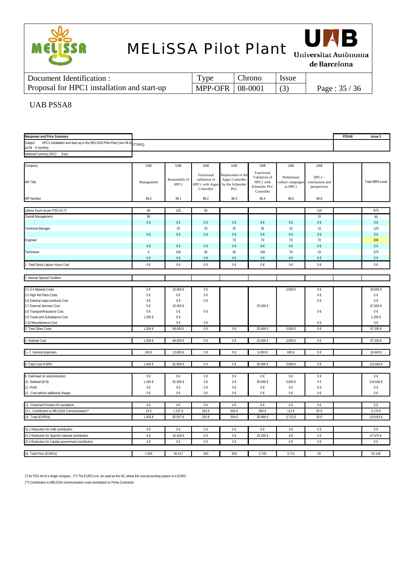



de Barcelona

| Document Identification :                   | Type                    | Chrono | <b>Issue</b> |               |
|---------------------------------------------|-------------------------|--------|--------------|---------------|
| Proposal for HPC1 installation and start-up | MPP-OFR $\vert$ 08-0001 |        |              | Page: $35/36$ |

#### UAB PSSA8

| Manpower and Price Summary                                                                            |                   |                       |                                                              |                                                                  |                                                                         |                                             |                                                  | PSSA8 | <b>Issue 3</b>         |
|-------------------------------------------------------------------------------------------------------|-------------------|-----------------------|--------------------------------------------------------------|------------------------------------------------------------------|-------------------------------------------------------------------------|---------------------------------------------|--------------------------------------------------|-------|------------------------|
| HPC1 installation and start-up in the MELISSA Pilot Plant (nov 08 to<br>Subject<br>jul 09 : 8 months) | <b>ITT/RFQ:</b>   |                       |                                                              |                                                                  |                                                                         |                                             |                                                  |       |                        |
| National Currency (NC)*: Euro                                                                         |                   |                       |                                                              |                                                                  |                                                                         |                                             |                                                  |       |                        |
| Company                                                                                               | UAB               | UAB                   | UAB                                                          | UAB                                                              | UAB                                                                     | UAB                                         | UAB                                              |       |                        |
| WP Title                                                                                              | Management        | Reassembly of<br>HPC1 | Functional<br>validation of<br>HPC1 with Argus<br>Controller | Replacemnt of the<br>Argus Controller<br>by the Schneider<br>PLC | Functional<br>Validation of<br>HPC1 with<br>Schneider PLC<br>Controller | Preliminary<br>culture campaign:<br>in HPC1 | $HPC1 -$<br>conclusions and<br>$\,$ perspectives |       | <b>Total WBS-Level</b> |
| WP Number                                                                                             | 96.0              | 96.1                  | 96.2                                                         | 96.3                                                             | 96.4                                                                    | 96.5                                        | 96.6                                             |       |                        |
|                                                                                                       |                   |                       |                                                              |                                                                  |                                                                         |                                             |                                                  |       |                        |
| Labour hours as per PSS A2 (*)                                                                        | 80                | 125                   | 55                                                           |                                                                  |                                                                         |                                             | 110                                              |       | 875                    |
| Overall Management                                                                                    | 80                |                       |                                                              |                                                                  |                                                                         |                                             | 15                                               |       | 95                     |
|                                                                                                       | $0\in$            | $0 \in$               | $0 \in$                                                      | $0 \in$                                                          | 0€                                                                      | $0 \in$                                     | $0\in$                                           |       | $0 \in$                |
| <b>Technical Manager</b>                                                                              |                   | 20                    | $20\,$                                                       | 20                                                               | 35                                                                      | 15                                          | 15                                               |       | 125                    |
|                                                                                                       | 0€                | 0€                    | $0 \in$                                                      | $0 \in$                                                          | 0€                                                                      | 0€                                          | $0 \in$                                          |       | 0€                     |
| Engineer                                                                                              |                   |                       |                                                              | 70                                                               | 70                                                                      | 70                                          | 70                                               |       | 280                    |
|                                                                                                       | $0\in$<br>$\,0\,$ | $0 \in$<br>105        | $0 \in$<br>35                                                | 0€<br>50                                                         | 0€<br>105                                                               | 0€<br>70                                    | $0 \in$<br>$10$                                  |       | 0€<br>375              |
| Technician                                                                                            | $0\in$            | $0 \in$               | $0 \in$                                                      | $0 \in$                                                          | $0\in$                                                                  | $0 \in$                                     | $0 \in$                                          |       | $0 \in$                |
| 1. Total Direct Labour Hours Cost                                                                     | 0€                | 0€                    | 0€                                                           | 0€                                                               | 0€                                                                      | 0€                                          | 0€                                               |       | 0€                     |
|                                                                                                       |                   |                       |                                                              |                                                                  |                                                                         |                                             |                                                  |       |                        |
| 2. Internal Special Facilities                                                                        |                   |                       |                                                              |                                                                  |                                                                         |                                             |                                                  |       |                        |
|                                                                                                       |                   |                       |                                                              |                                                                  |                                                                         |                                             |                                                  |       |                        |
| 3.1-3.4 Material Costs                                                                                | $0\in$            | 26.000 €              | 0€                                                           |                                                                  |                                                                         | $3.000\in$                                  | $0 \in$                                          |       | 29.000 €               |
| 3.5 High Rel Parts Costs<br>3.6 External major products Cost                                          | $0\in$<br>$0 \in$ | $0 \in$<br>$0 \in$    | $0 \in$<br>$0 \in$                                           |                                                                  |                                                                         |                                             | $0\in$<br>$0 \in$                                |       | 0€<br>0€               |
| 3.7 External Services Cost                                                                            | $0 \in$           | 42.000 €              |                                                              |                                                                  | 25.000 €                                                                |                                             |                                                  |       | 67.000€                |
| 3.8 Transport/Insurance Cost                                                                          | $0\in$            | $0 \in$               | 0€                                                           |                                                                  |                                                                         |                                             | 0€                                               |       | $0\in$                 |
| 3.9 Travel and Subsistance Cost                                                                       | 1.200 €           | $0 \in$               |                                                              |                                                                  |                                                                         |                                             |                                                  |       | 1.200 €                |
| 3.10 Miscellaneous Cost                                                                               |                   | $0 \in$               | $0\in$                                                       |                                                                  |                                                                         |                                             | 0€                                               |       | $0 \in$                |
| 3. Total Other Costs                                                                                  | 1.200 €           | 68.000 €              | 0€                                                           | $0 \in$                                                          | 25.000 €                                                                | 3.000 €                                     | 0€                                               |       | 97.200 €               |
| 4. Subtotal Cost                                                                                      | 1.200 €           | 68.000 €              | 0€                                                           | $0\in$                                                           | 25.000 €                                                                | 3.000 €                                     | 0€                                               |       | 97.200 €               |
|                                                                                                       |                   |                       |                                                              |                                                                  |                                                                         |                                             |                                                  |       |                        |
| 5.- 7. General expenses                                                                               | 240€              | 13.600 €              | $0\in$                                                       | $0\in$                                                           | $5.000\in$                                                              | 600€                                        | $0 \in$                                          |       | 19.440 €               |
|                                                                                                       |                   |                       |                                                              |                                                                  |                                                                         |                                             |                                                  |       |                        |
| 8. Total Cost of WPs                                                                                  | 1.440 €           | 81.600 €              | $0 \in$                                                      | $0 \in$                                                          | 30.000 €                                                                | 3.600 €                                     | 0€                                               |       | 116.640 €              |
|                                                                                                       |                   |                       |                                                              |                                                                  |                                                                         |                                             |                                                  |       |                        |
| 9. Overhead on subcontractors                                                                         | 0€                | $0 \in$               | 0€                                                           | $0 \in$                                                          | 0€                                                                      | 0€                                          | 0€                                               |       | 0€                     |
| 10. Subtotal (8+9)<br>11. Profit                                                                      | 1.440 €           | 81.600€<br>$0 \in$    | $0 \in$<br>$0\in$                                            | $0\in$                                                           | 30.000 €                                                                | 3.600 €                                     | $0\in$                                           |       | 116.640 €              |
| 12. Cost without additional charge                                                                    | $0\in$<br>$0 \in$ | $0\in$                | 0€                                                           | $0 \in$<br>$0\in$                                                | 0€<br>$0\in$                                                            | $0\in$<br>$0 \in$                           | 0€<br>$0 \in$                                    |       | $0\in$<br>$0\in$       |
|                                                                                                       |                   |                       |                                                              |                                                                  |                                                                         |                                             |                                                  |       |                        |
| 13. Financial Provision for escalation                                                                | $0 \in$           | 0€                    | $0\in$                                                       | $0 \in$                                                          | 0€                                                                      | 0€                                          | 0€                                               |       | $0\in$                 |
| 13.1 Contribution to MELISSA Communication**                                                          | 15€               | 1.237 €               | 263€                                                         | 504€                                                             | 990€                                                                    | 112€                                        | 55€                                              |       | 3.176 €                |
| 14. Total (EUROs)                                                                                     | 1.455 €           | 82.837 €              | 263€                                                         | 504€                                                             | 30.990 €                                                                | 3.712 €                                     | 55€                                              |       | 119.816 €              |
|                                                                                                       |                   |                       |                                                              |                                                                  |                                                                         |                                             |                                                  |       |                        |
| 15.1 Reduction for UAB contribution                                                                   | $0\in$            | $0 \in$               | 0€                                                           | $0 \in$                                                          | 0€                                                                      | 0€                                          | 0€                                               |       | 0€                     |
| 15.2 Reduction for Spanish national contribution                                                      | $0\in$            | 42.420 €              | $0\in$                                                       | 0€                                                               | 25.250 €                                                                | 0€                                          | $0\in$                                           |       | 67.670 €               |
| 15.3 Reduction for Catalan government contribution                                                    | $0\in$            | $0 \in$               | $0\in$                                                       | $0\in$                                                           |                                                                         | $0 \in$                                     | $0 \in$                                          |       | 0€                     |
| 16. Total Price (EUROs)                                                                               | 1.455             | 40.417                | 263                                                          | 504                                                              | 5.740                                                                   | 3.712                                       | 55                                               |       | 52.146                 |
|                                                                                                       |                   |                       |                                                              |                                                                  |                                                                         |                                             |                                                  |       |                        |

(\*) for PSS A8 of a single company . (\*\*) The EURO is to be used as the NC where the cost accounting system is in EURO

(\*\*) Contribution to MELiSSA communication costs centralized on Prime Contractor